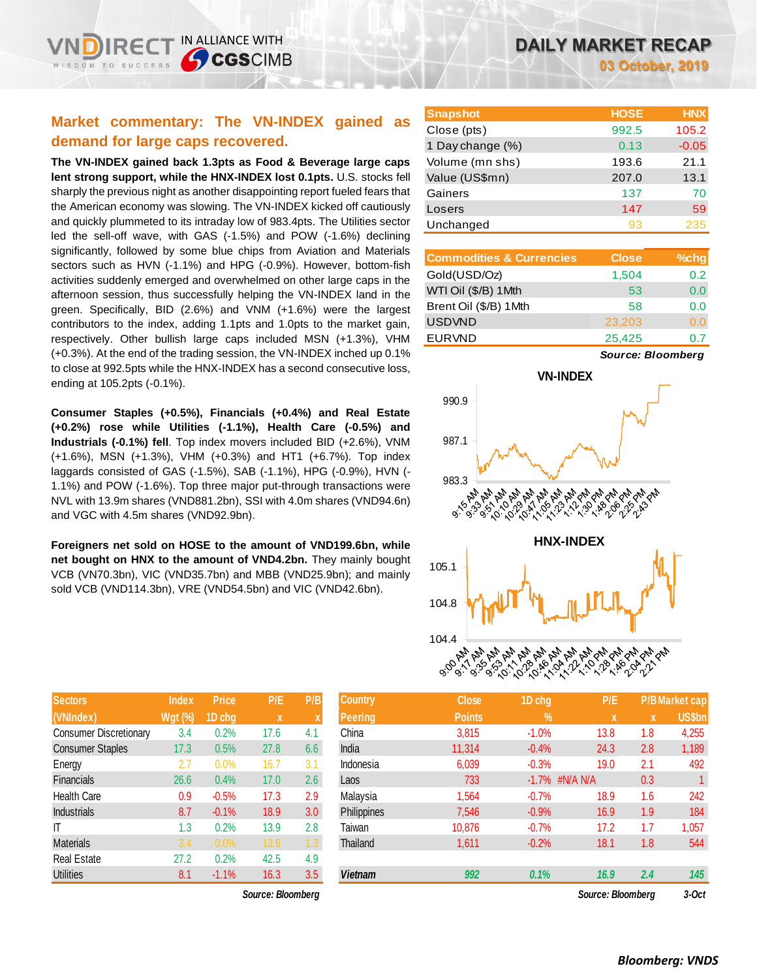## **Market commentary: The VN-INDEX gained as demand for large caps recovered.**

**The VN-INDEX gained back 1.3pts as Food & Beverage large caps lent strong support, while the HNX-INDEX lost 0.1pts.** U.S. stocks fell sharply the previous night as another disappointing report fueled fears that the American economy was slowing. The VN-INDEX kicked off cautiously and quickly plummeted to its intraday low of 983.4pts. The Utilities sector led the sell-off wave, with GAS (-1.5%) and POW (-1.6%) declining significantly, followed by some blue chips from Aviation and Materials sectors such as HVN (-1.1%) and HPG (-0.9%). However, bottom-fish activities suddenly emerged and overwhelmed on other large caps in the afternoon session, thus successfully helping the VN-INDEX land in the green. Specifically, BID (2.6%) and VNM (+1.6%) were the largest contributors to the index, adding 1.1pts and 1.0pts to the market gain, respectively. Other bullish large caps included MSN (+1.3%), VHM (+0.3%). At the end of the trading session, the VN-INDEX inched up 0.1% to close at 992.5pts while the HNX-INDEX has a second consecutive loss, ending at 105.2pts (-0.1%).

**Consumer Staples (+0.5%), Financials (+0.4%) and Real Estate (+0.2%) rose while Utilities (-1.1%), Health Care (-0.5%) and Industrials (-0.1%) fell**. Top index movers included BID (+2.6%), VNM (+1.6%), MSN (+1.3%), VHM (+0.3%) and HT1 (+6.7%). Top index laggards consisted of GAS (-1.5%), SAB (-1.1%), HPG (-0.9%), HVN (- 1.1%) and POW (-1.6%). Top three major put-through transactions were NVL with 13.9m shares (VND881.2bn), SSI with 4.0m shares (VND94.6n) and VGC with 4.5m shares (VND92.9bn).

**Foreigners net sold on HOSE to the amount of VND199.6bn, while net bought on HNX to the amount of VND4.2bn.** They mainly bought VCB (VN70.3bn), VIC (VND35.7bn) and MBB (VND25.9bn); and mainly sold VCB (VND114.3bn), VRE (VND54.5bn) and VIC (VND42.6bn).

| <b>Sectors</b>                | <b>Index</b>   | <b>Price</b> | P/E  | P/B |
|-------------------------------|----------------|--------------|------|-----|
| (VNIndex)                     | <b>Wgt (%)</b> | 1D chg       | X    | X   |
| <b>Consumer Discretionary</b> | 3.4            | 0.2%         | 17.6 | 4.1 |
| <b>Consumer Staples</b>       | 17.3           | 0.5%         | 27.8 | 6.6 |
| Energy                        | 2.7            | 0.0%         | 16.7 | 3.1 |
| <b>Financials</b>             | 26.6           | 0.4%         | 17.0 | 2.6 |
| <b>Health Care</b>            | 0.9            | $-0.5%$      | 17.3 | 2.9 |
| <b>Industrials</b>            | 8.7            | $-0.1%$      | 18.9 | 3.0 |
| IT                            | 1.3            | 0.2%         | 13.9 | 2.8 |
| <b>Materials</b>              | 3.4            | 0.0%         | 13.6 | 1.3 |
| <b>Real Estate</b>            | 27.2           | 0.2%         | 42.5 | 4.9 |
| <b>Utilities</b>              | 8.1            | $-1.1%$      | 16.3 | 3.5 |

 $Source: Bloomberg$ 

| <b>Snapshot</b>  | <b>HOSE</b> | <b>HNX</b> |
|------------------|-------------|------------|
| Close (pts)      | 992.5       | 105.2      |
| 1 Day change (%) | 0.13        | $-0.05$    |
| Volume (mn shs)  | 193.6       | 21.1       |
| Value (US\$mn)   | 207.0       | 13.1       |
| Gainers          | 137         | 70         |
| Losers           | 147         | 59         |
| Unchanged        | 93          | 235        |

| <b>Commodities &amp; Currencies</b> | <b>Close</b> | $%$ chg |
|-------------------------------------|--------------|---------|
| Gold(USD/Oz)                        | 1,504        | 0.2     |
| WTI Oil (\$/B) 1Mth                 | 53           | 0.0     |
| Brent Oil (\$/B) 1Mth               | 58           | 0.0     |
| <b>USDVND</b>                       | 23,203       | 0.0     |
| <b>EURVND</b>                       | 25,425       | 07      |

*Source: Bloomberg*



| <b>Sectors</b>                | <b>Index</b> | <b>Price</b> | P/E               | P/B              | <b>Country</b> | <b>Close</b>  | 1D chg     | P/E               |             | <b>P/B Market cap</b> |
|-------------------------------|--------------|--------------|-------------------|------------------|----------------|---------------|------------|-------------------|-------------|-----------------------|
| (VNIndex)                     | Wgt (%)      | 1D chg       | $\mathbf{x}$      |                  | <b>Peering</b> | <b>Points</b> | $\sqrt{2}$ | X                 | $\mathbf x$ | <b>US\$bn</b>         |
| <b>Consumer Discretionary</b> | 3.4          | 0.2%         | 17.6              | 4.1              | China          | 3,815         | $-1.0%$    | 13.8              | 1.8         | 4,255                 |
| <b>Consumer Staples</b>       | 17.3         | 0.5%         | 27.8              | 6.6              | India          | 11,314        | $-0.4%$    | 24.3              | 2.8         | 1,189                 |
| Energy                        | 2.7          | 0.0%         | 16.7              | 3.1              | Indonesia      | 6,039         | $-0.3%$    | 19.0              | 2.1         | 492                   |
| Financials                    | 26.6         | 0.4%         | 17.0              | 2.6              | Laos           | 733           | $-1.7\%$   | #N/A N/A          | 0.3         |                       |
| <b>Health Care</b>            | 0.9          | $-0.5%$      | 17.3              | 2.9              | Malaysia       | 1,564         | $-0.7%$    | 18.9              | 1.6         | 242                   |
| <b>Industrials</b>            | 8.7          | $-0.1%$      | 18.9              | 3.0 <sub>2</sub> | Philippines    | 7,546         | $-0.9%$    | 16.9              | 1.9         | 184                   |
| IΤ                            | 1.3          | 0.2%         | 13.9              | 2.8              | Taiwan         | 10,876        | $-0.7%$    | 17.2              | 1.7         | 1,057                 |
| <b>Materials</b>              | 3.4          | 0.0%         | 13.6              | 1.3              | Thailand       | 1,611         | $-0.2%$    | 18.1              | 1.8         | 544                   |
| Real Estate                   | 27.2         | 0.2%         | 42.5              | 4.9              |                |               |            |                   |             |                       |
| <b>Utilities</b>              | 8.1          | $-1.1%$      | 16.3              | 3.5              | <b>Vietnam</b> | 992           | 0.1%       | 16.9              | 2.4         | 145                   |
|                               |              |              | Source: Bloomberg |                  |                |               |            | Source: Bloomberg |             | $3-Oct$               |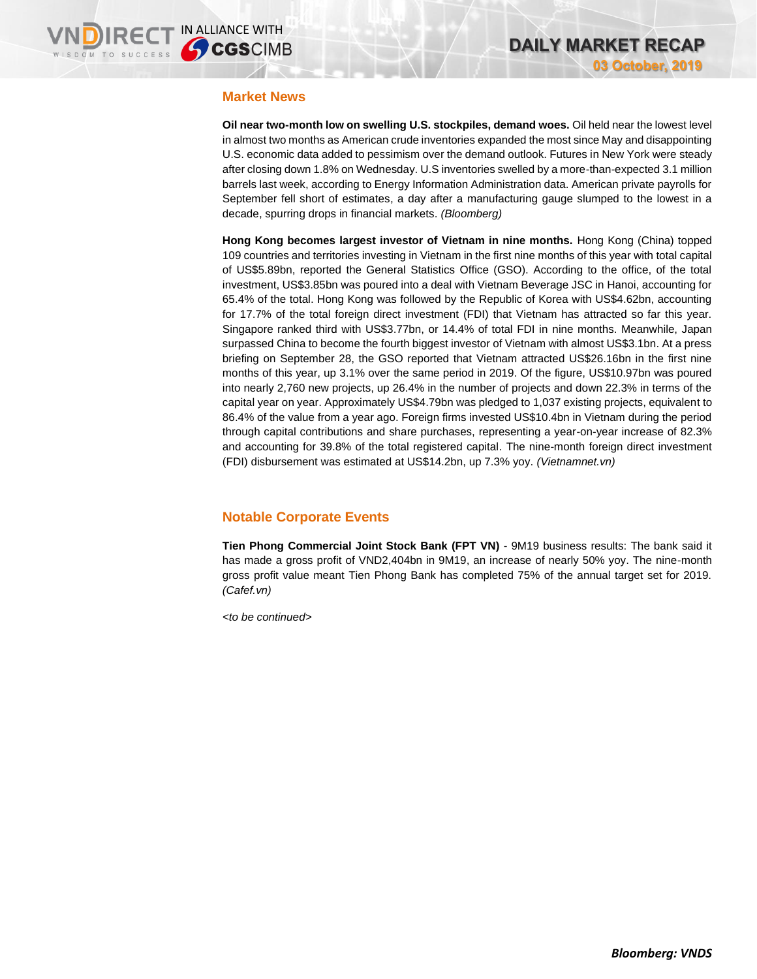### **Market News**

**Oil near two-month low on swelling U.S. stockpiles, demand woes.** Oil held near the lowest level in almost two months as American crude inventories expanded the most since May and disappointing U.S. economic data added to pessimism over the demand outlook. Futures in New York were steady after closing down 1.8% on Wednesday. U.S inventories swelled by a more-than-expected 3.1 million barrels last week, according to Energy Information Administration data. American private payrolls for September fell short of estimates, a day after a manufacturing gauge slumped to the lowest in a decade, spurring drops in financial markets. *(Bloomberg)*

**Hong Kong becomes largest investor of Vietnam in nine months.** Hong Kong (China) topped 109 countries and territories investing in Vietnam in the first nine months of this year with total capital of US\$5.89bn, reported the General Statistics Office (GSO). According to the office, of the total investment, US\$3.85bn was poured into a deal with Vietnam Beverage JSC in Hanoi, accounting for 65.4% of the total. Hong Kong was followed by the Republic of Korea with US\$4.62bn, accounting for 17.7% of the total foreign direct investment (FDI) that Vietnam has attracted so far this year. Singapore ranked third with US\$3.77bn, or 14.4% of total FDI in nine months. Meanwhile, Japan surpassed China to become the fourth biggest investor of Vietnam with almost US\$3.1bn. At a press briefing on September 28, the GSO reported that Vietnam attracted US\$26.16bn in the first nine months of this year, up 3.1% over the same period in 2019. Of the figure, US\$10.97bn was poured into nearly 2,760 new projects, up 26.4% in the number of projects and down 22.3% in terms of the capital year on year. Approximately US\$4.79bn was pledged to 1,037 existing projects, equivalent to 86.4% of the value from a year ago. Foreign firms invested US\$10.4bn in Vietnam during the period through capital contributions and share purchases, representing a year-on-year increase of 82.3% and accounting for 39.8% of the total registered capital. The nine-month foreign direct investment (FDI) disbursement was estimated at US\$14.2bn, up 7.3% yoy. *(Vietnamnet.vn)*

## **Notable Corporate Events**

**Tien Phong Commercial Joint Stock Bank (FPT VN)** - 9M19 business results: The bank said it has made a gross profit of VND2,404bn in 9M19, an increase of nearly 50% yoy. The nine-month gross profit value meant Tien Phong Bank has completed 75% of the annual target set for 2019. *(Cafef.vn)*

*<to be continued>*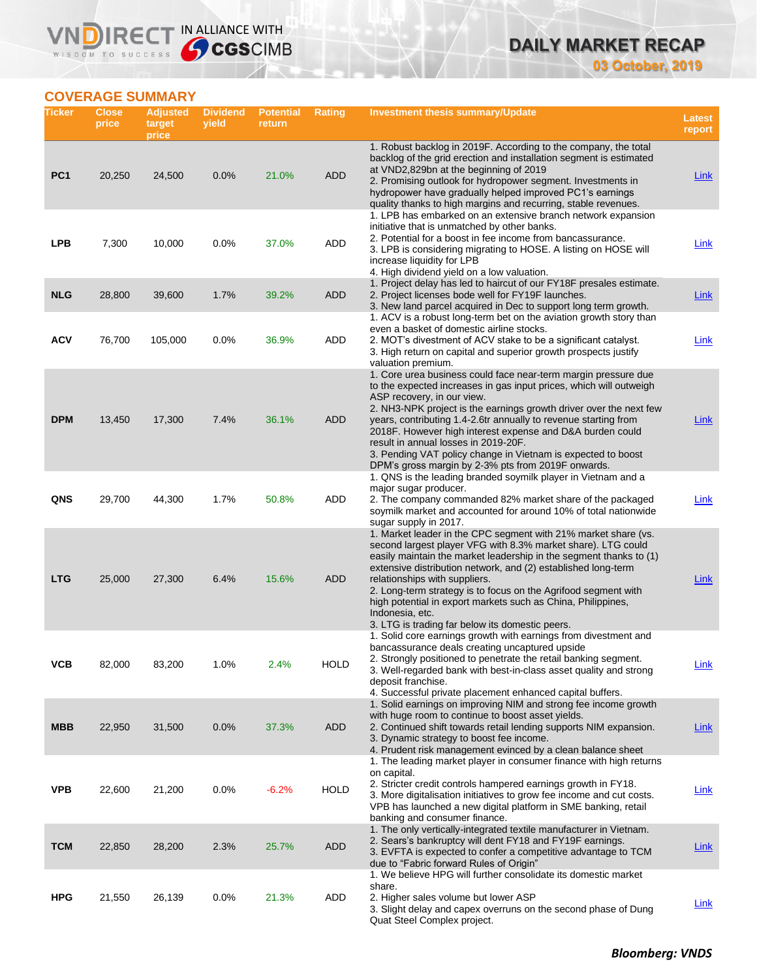## **DAILY MARKET RECAP 03 October, 2019**

**COVERAGE SUMMARY**

WISDOM TO SUCCESS

**VNDIRECT IN ALLIANCE WITH** 

| Ticker          | <b>Close</b><br>price | <b>Adjusted</b><br>target<br>price | <b>Dividend</b><br>yield | <b>Potential</b><br>return | <b>Rating</b> | <b>Investment thesis summary/Update</b>                                                                                                                                                                                                                                                                                                                                                                                                                                                                                                | Latest<br>report |
|-----------------|-----------------------|------------------------------------|--------------------------|----------------------------|---------------|----------------------------------------------------------------------------------------------------------------------------------------------------------------------------------------------------------------------------------------------------------------------------------------------------------------------------------------------------------------------------------------------------------------------------------------------------------------------------------------------------------------------------------------|------------------|
| PC <sub>1</sub> | 20,250                | 24,500                             | 0.0%                     | 21.0%                      | <b>ADD</b>    | 1. Robust backlog in 2019F. According to the company, the total<br>backlog of the grid erection and installation segment is estimated<br>at VND2,829bn at the beginning of 2019<br>2. Promising outlook for hydropower segment. Investments in<br>hydropower have gradually helped improved PC1's earnings<br>quality thanks to high margins and recurring, stable revenues.                                                                                                                                                           | <b>Link</b>      |
| <b>LPB</b>      | 7,300                 | 10,000                             | 0.0%                     | 37.0%                      | ADD           | 1. LPB has embarked on an extensive branch network expansion<br>initiative that is unmatched by other banks.<br>2. Potential for a boost in fee income from bancassurance.<br>3. LPB is considering migrating to HOSE. A listing on HOSE will<br>increase liquidity for LPB<br>4. High dividend yield on a low valuation.                                                                                                                                                                                                              | Link             |
| <b>NLG</b>      | 28,800                | 39,600                             | 1.7%                     | 39.2%                      | <b>ADD</b>    | 1. Project delay has led to haircut of our FY18F presales estimate.<br>2. Project licenses bode well for FY19F launches.<br>3. New land parcel acquired in Dec to support long term growth.                                                                                                                                                                                                                                                                                                                                            | <b>Link</b>      |
| <b>ACV</b>      | 76,700                | 105,000                            | 0.0%                     | 36.9%                      | ADD           | 1. ACV is a robust long-term bet on the aviation growth story than<br>even a basket of domestic airline stocks.<br>2. MOT's divestment of ACV stake to be a significant catalyst.<br>3. High return on capital and superior growth prospects justify<br>valuation premium.                                                                                                                                                                                                                                                             | <b>Link</b>      |
| <b>DPM</b>      | 13,450                | 17,300                             | 7.4%                     | 36.1%                      | <b>ADD</b>    | 1. Core urea business could face near-term margin pressure due<br>to the expected increases in gas input prices, which will outweigh<br>ASP recovery, in our view.<br>2. NH3-NPK project is the earnings growth driver over the next few<br>years, contributing 1.4-2.6tr annually to revenue starting from<br>2018F. However high interest expense and D&A burden could<br>result in annual losses in 2019-20F.<br>3. Pending VAT policy change in Vietnam is expected to boost<br>DPM's gross margin by 2-3% pts from 2019F onwards. | Link             |
| QNS             | 29,700                | 44,300                             | 1.7%                     | 50.8%                      | ADD           | 1. QNS is the leading branded soymilk player in Vietnam and a<br>major sugar producer.<br>2. The company commanded 82% market share of the packaged<br>soymilk market and accounted for around 10% of total nationwide<br>sugar supply in 2017.                                                                                                                                                                                                                                                                                        | Link             |
| <b>LTG</b>      | 25,000                | 27,300                             | 6.4%                     | 15.6%                      | <b>ADD</b>    | 1. Market leader in the CPC segment with 21% market share (vs.<br>second largest player VFG with 8.3% market share). LTG could<br>easily maintain the market leadership in the segment thanks to (1)<br>extensive distribution network, and (2) established long-term<br>relationships with suppliers.<br>2. Long-term strategy is to focus on the Agrifood segment with<br>high potential in export markets such as China, Philippines,<br>Indonesia, etc.<br>3. LTG is trading far below its domestic peers.                         | Link             |
| VCB             | 82,000                | 83,200                             | 1.0%                     | 2.4%                       | <b>HOLD</b>   | 1. Solid core earnings growth with earnings from divestment and<br>bancassurance deals creating uncaptured upside<br>2. Strongly positioned to penetrate the retail banking segment.<br>3. Well-regarded bank with best-in-class asset quality and strong<br>deposit franchise.<br>4. Successful private placement enhanced capital buffers.                                                                                                                                                                                           | <u>Link</u>      |
| <b>MBB</b>      | 22,950                | 31,500                             | 0.0%                     | 37.3%                      | <b>ADD</b>    | 1. Solid earnings on improving NIM and strong fee income growth<br>with huge room to continue to boost asset yields.<br>2. Continued shift towards retail lending supports NIM expansion.<br>3. Dynamic strategy to boost fee income.<br>4. Prudent risk management evinced by a clean balance sheet                                                                                                                                                                                                                                   | Link             |
| <b>VPB</b>      | 22,600                | 21,200                             | 0.0%                     | $-6.2%$                    | <b>HOLD</b>   | 1. The leading market player in consumer finance with high returns<br>on capital.<br>2. Stricter credit controls hampered earnings growth in FY18.<br>3. More digitalisation initiatives to grow fee income and cut costs.<br>VPB has launched a new digital platform in SME banking, retail<br>banking and consumer finance.                                                                                                                                                                                                          | <b>Link</b>      |
| <b>TCM</b>      | 22,850                | 28,200                             | 2.3%                     | 25.7%                      | <b>ADD</b>    | 1. The only vertically-integrated textile manufacturer in Vietnam.<br>2. Sears's bankruptcy will dent FY18 and FY19F earnings.<br>3. EVFTA is expected to confer a competitive advantage to TCM<br>due to "Fabric forward Rules of Origin"                                                                                                                                                                                                                                                                                             | <b>Link</b>      |
| <b>HPG</b>      | 21,550                | 26,139                             | 0.0%                     | 21.3%                      | ADD           | 1. We believe HPG will further consolidate its domestic market<br>share.<br>2. Higher sales volume but lower ASP<br>3. Slight delay and capex overruns on the second phase of Dung<br>Quat Steel Complex project.                                                                                                                                                                                                                                                                                                                      | <b>Link</b>      |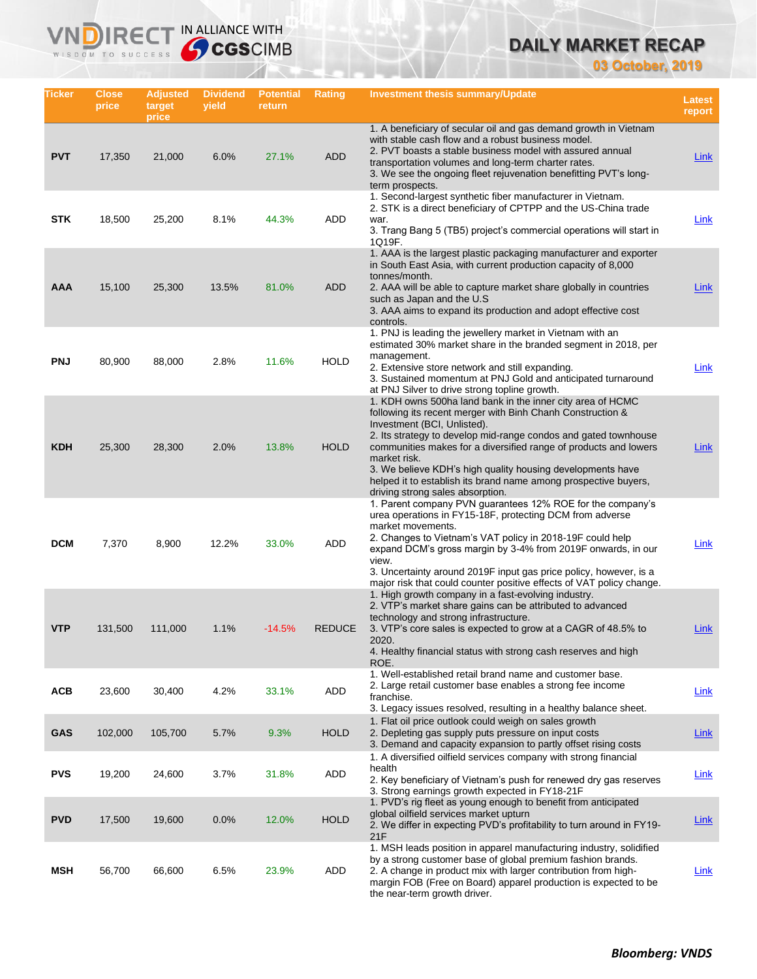## **DAILY MARKET RECAP**

**03 October, 2019**

| Ticker     | <b>Close</b><br>price | <b>Adjusted</b><br>target<br>price | <b>Dividend</b><br>yield | <b>Potential</b><br>return | Rating        | Investment thesis summary/Update                                                                                                                                                                                                                                                                                                                                                                                                                                                    | Latest<br>report |
|------------|-----------------------|------------------------------------|--------------------------|----------------------------|---------------|-------------------------------------------------------------------------------------------------------------------------------------------------------------------------------------------------------------------------------------------------------------------------------------------------------------------------------------------------------------------------------------------------------------------------------------------------------------------------------------|------------------|
| <b>PVT</b> | 17,350                | 21,000                             | 6.0%                     | 27.1%                      | <b>ADD</b>    | 1. A beneficiary of secular oil and gas demand growth in Vietnam<br>with stable cash flow and a robust business model.<br>2. PVT boasts a stable business model with assured annual<br>transportation volumes and long-term charter rates.<br>3. We see the ongoing fleet rejuvenation benefitting PVT's long-<br>term prospects.                                                                                                                                                   | Link             |
| <b>STK</b> | 18,500                | 25,200                             | 8.1%                     | 44.3%                      | ADD           | 1. Second-largest synthetic fiber manufacturer in Vietnam.<br>2. STK is a direct beneficiary of CPTPP and the US-China trade<br>war.<br>3. Trang Bang 5 (TB5) project's commercial operations will start in<br>1Q19F.                                                                                                                                                                                                                                                               | Link             |
| <b>AAA</b> | 15,100                | 25,300                             | 13.5%                    | 81.0%                      | <b>ADD</b>    | 1. AAA is the largest plastic packaging manufacturer and exporter<br>in South East Asia, with current production capacity of 8,000<br>tonnes/month.<br>2. AAA will be able to capture market share globally in countries<br>such as Japan and the U.S.<br>3. AAA aims to expand its production and adopt effective cost<br>controls.                                                                                                                                                | Link             |
| <b>PNJ</b> | 80,900                | 88,000                             | 2.8%                     | 11.6%                      | <b>HOLD</b>   | 1. PNJ is leading the jewellery market in Vietnam with an<br>estimated 30% market share in the branded segment in 2018, per<br>management.<br>2. Extensive store network and still expanding.<br>3. Sustained momentum at PNJ Gold and anticipated turnaround<br>at PNJ Silver to drive strong topline growth.                                                                                                                                                                      | <b>Link</b>      |
| <b>KDH</b> | 25,300                | 28,300                             | 2.0%                     | 13.8%                      | <b>HOLD</b>   | 1. KDH owns 500ha land bank in the inner city area of HCMC<br>following its recent merger with Binh Chanh Construction &<br>Investment (BCI, Unlisted).<br>2. Its strategy to develop mid-range condos and gated townhouse<br>communities makes for a diversified range of products and lowers<br>market risk.<br>3. We believe KDH's high quality housing developments have<br>helped it to establish its brand name among prospective buyers,<br>driving strong sales absorption. | Link             |
| <b>DCM</b> | 7,370                 | 8,900                              | 12.2%                    | 33.0%                      | ADD           | 1. Parent company PVN guarantees 12% ROE for the company's<br>urea operations in FY15-18F, protecting DCM from adverse<br>market movements.<br>2. Changes to Vietnam's VAT policy in 2018-19F could help<br>expand DCM's gross margin by 3-4% from 2019F onwards, in our<br>view.<br>3. Uncertainty around 2019F input gas price policy, however, is a<br>major risk that could counter positive effects of VAT policy change.                                                      | Link             |
| <b>VTP</b> | 131,500               | 111,000                            | 1.1%                     | $-14.5%$                   | <b>REDUCE</b> | 1. High growth company in a fast-evolving industry.<br>2. VTP's market share gains can be attributed to advanced<br>technology and strong infrastructure.<br>3. VTP's core sales is expected to grow at a CAGR of 48.5% to<br>2020.<br>4. Healthy financial status with strong cash reserves and high<br>ROE.                                                                                                                                                                       | Link             |
| <b>ACB</b> | 23,600                | 30,400                             | 4.2%                     | 33.1%                      | ADD           | 1. Well-established retail brand name and customer base.<br>2. Large retail customer base enables a strong fee income<br>franchise.<br>3. Legacy issues resolved, resulting in a healthy balance sheet.                                                                                                                                                                                                                                                                             | <b>Link</b>      |
| <b>GAS</b> | 102,000               | 105,700                            | 5.7%                     | 9.3%                       | <b>HOLD</b>   | 1. Flat oil price outlook could weigh on sales growth<br>2. Depleting gas supply puts pressure on input costs<br>3. Demand and capacity expansion to partly offset rising costs                                                                                                                                                                                                                                                                                                     | <b>Link</b>      |
| <b>PVS</b> | 19,200                | 24,600                             | 3.7%                     | 31.8%                      | ADD           | 1. A diversified oilfield services company with strong financial<br>health<br>2. Key beneficiary of Vietnam's push for renewed dry gas reserves<br>3. Strong earnings growth expected in FY18-21F                                                                                                                                                                                                                                                                                   | Link             |
| <b>PVD</b> | 17,500                | 19,600                             | 0.0%                     | 12.0%                      | <b>HOLD</b>   | 1. PVD's rig fleet as young enough to benefit from anticipated<br>global oilfield services market upturn<br>2. We differ in expecting PVD's profitability to turn around in FY19-<br>21F                                                                                                                                                                                                                                                                                            | <b>Link</b>      |
| MSH        | 56,700                | 66,600                             | 6.5%                     | 23.9%                      | ADD           | 1. MSH leads position in apparel manufacturing industry, solidified<br>by a strong customer base of global premium fashion brands.<br>2. A change in product mix with larger contribution from high-<br>margin FOB (Free on Board) apparel production is expected to be<br>the near-term growth driver.                                                                                                                                                                             | <b>Link</b>      |

**VNDIRECT IN ALLIANCE WITH** 

WISDOM TO SUCCESS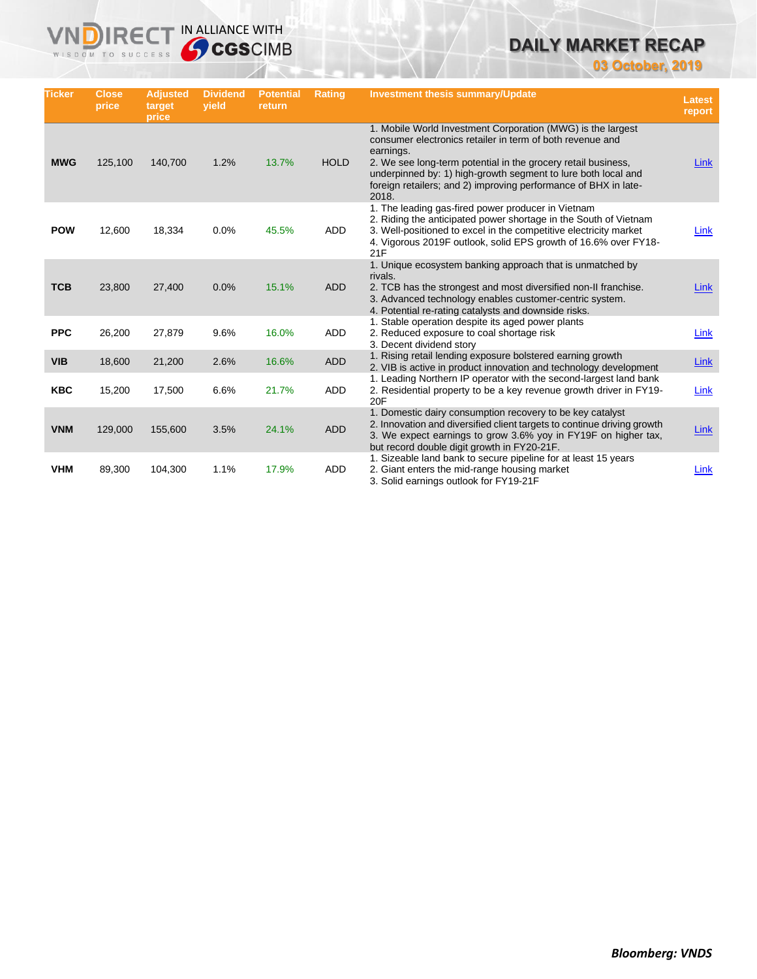# **DAILY MARKET RECAP**

**03 October, 2019**

| <b>Ticker</b> | <b>Close</b><br>price | <b>Adjusted</b><br>target<br>price | <b>Dividend</b><br>vield | <b>Potential</b><br>return | Rating      | <b>Investment thesis summary/Update</b>                                                                                                                                                                                                                                                                                                             | <b>Latest</b><br>report |
|---------------|-----------------------|------------------------------------|--------------------------|----------------------------|-------------|-----------------------------------------------------------------------------------------------------------------------------------------------------------------------------------------------------------------------------------------------------------------------------------------------------------------------------------------------------|-------------------------|
| <b>MWG</b>    | 125,100               | 140,700                            | 1.2%                     | 13.7%                      | <b>HOLD</b> | 1. Mobile World Investment Corporation (MWG) is the largest<br>consumer electronics retailer in term of both revenue and<br>earnings.<br>2. We see long-term potential in the grocery retail business,<br>underpinned by: 1) high-growth segment to lure both local and<br>foreign retailers; and 2) improving performance of BHX in late-<br>2018. | Link                    |
| <b>POW</b>    | 12,600                | 18,334                             | 0.0%                     | 45.5%                      | <b>ADD</b>  | 1. The leading gas-fired power producer in Vietnam<br>2. Riding the anticipated power shortage in the South of Vietnam<br>3. Well-positioned to excel in the competitive electricity market<br>4. Vigorous 2019F outlook, solid EPS growth of 16.6% over FY18-<br>21F                                                                               | Link                    |
| <b>TCB</b>    | 23,800                | 27,400                             | 0.0%                     | 15.1%                      | <b>ADD</b>  | 1. Unique ecosystem banking approach that is unmatched by<br>rivals.<br>2. TCB has the strongest and most diversified non-II franchise.<br>3. Advanced technology enables customer-centric system.<br>4. Potential re-rating catalysts and downside risks.                                                                                          | <b>Link</b>             |
| <b>PPC</b>    | 26,200                | 27,879                             | 9.6%                     | 16.0%                      | ADD         | 1. Stable operation despite its aged power plants<br>2. Reduced exposure to coal shortage risk<br>3. Decent dividend story                                                                                                                                                                                                                          | Link                    |
| <b>VIB</b>    | 18,600                | 21,200                             | 2.6%                     | 16.6%                      | <b>ADD</b>  | 1. Rising retail lending exposure bolstered earning growth<br>2. VIB is active in product innovation and technology development                                                                                                                                                                                                                     | Link                    |
| <b>KBC</b>    | 15,200                | 17,500                             | 6.6%                     | 21.7%                      | ADD         | 1. Leading Northern IP operator with the second-largest land bank<br>2. Residential property to be a key revenue growth driver in FY19-<br>20F                                                                                                                                                                                                      | Link                    |
| <b>VNM</b>    | 129,000               | 155,600                            | 3.5%                     | 24.1%                      | <b>ADD</b>  | 1. Domestic dairy consumption recovery to be key catalyst<br>2. Innovation and diversified client targets to continue driving growth<br>3. We expect earnings to grow 3.6% yoy in FY19F on higher tax,<br>but record double digit growth in FY20-21F.                                                                                               | Link                    |
| <b>VHM</b>    | 89,300                | 104,300                            | 1.1%                     | 17.9%                      | ADD         | 1. Sizeable land bank to secure pipeline for at least 15 years<br>2. Giant enters the mid-range housing market<br>3. Solid earnings outlook for FY19-21F                                                                                                                                                                                            | Link                    |

**VNDIRECT IN ALLIANCE WITH**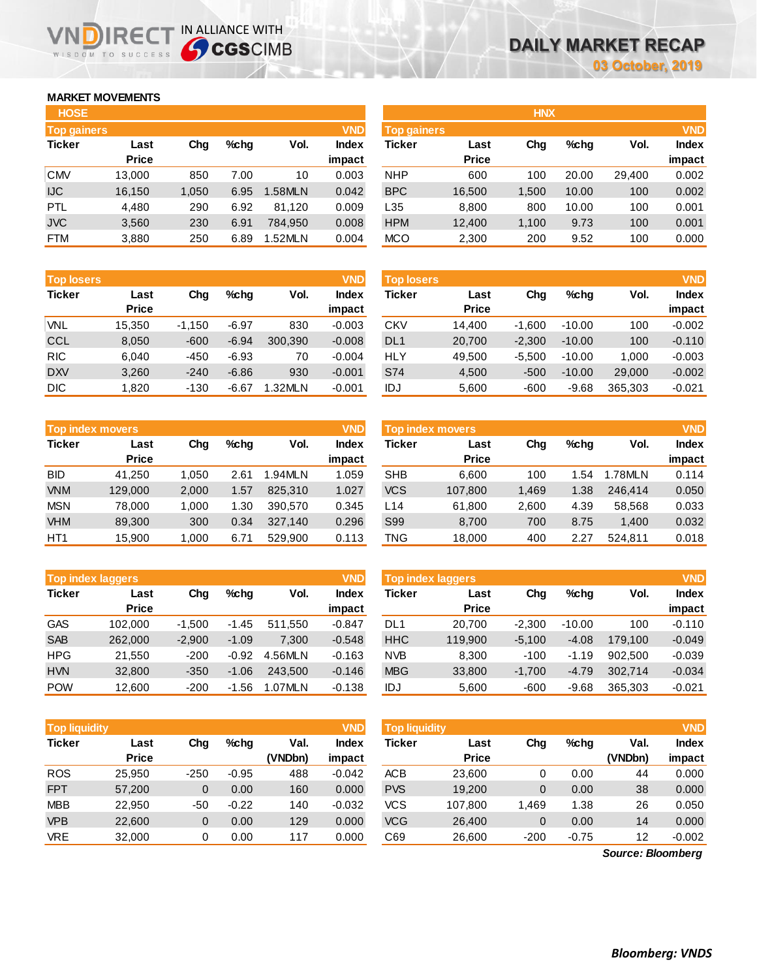## **MARKET MOVEMENTS**

WISDOM TO SUCCESS

| <b>HOSE</b>        |              |       |      |         |              |
|--------------------|--------------|-------|------|---------|--------------|
| <b>Top gainers</b> |              |       |      |         | <b>VND</b>   |
| <b>Ticker</b>      | Last         | Cha   | %chq | Vol.    | <b>Index</b> |
|                    | <b>Price</b> |       |      |         | impact       |
| <b>CMV</b>         | 13,000       | 850   | 7.00 | 10      | 0.003        |
| <b>IJC</b>         | 16,150       | 1,050 | 6.95 | 1.58MLN | 0.042        |
| PTL                | 4.480        | 290   | 6.92 | 81,120  | 0.009        |
| <b>JVC</b>         | 3,560        | 230   | 6.91 | 784.950 | 0.008        |
| FTM                | 3,880        | 250   | 6.89 | 1.52MLN | 0.004        |

**VNDIRECT IN ALLIANCE WITH** 

| <b>Top losers</b> |              |          |         |         | <b>VND</b>   |
|-------------------|--------------|----------|---------|---------|--------------|
| <b>Ticker</b>     | Last         | Cha      | %chq    | Vol.    | <b>Index</b> |
|                   | <b>Price</b> |          |         |         | impact       |
| VNL               | 15,350       | $-1,150$ | $-6.97$ | 830     | $-0.003$     |
| <b>CCL</b>        | 8,050        | $-600$   | $-6.94$ | 300,390 | $-0.008$     |
| <b>RIC</b>        | 6.040        | -450     | $-6.93$ | 70      | $-0.004$     |
| <b>DXV</b>        | 3,260        | $-240$   | $-6.86$ | 930     | $-0.001$     |
| <b>DIC</b>        | 1,820        | $-130$   | $-6.67$ | 1.32MLN | $-0.001$     |

|                 | <b>VND</b><br><b>Top index movers</b> |       |      |         |              |  |  |  |  |  |
|-----------------|---------------------------------------|-------|------|---------|--------------|--|--|--|--|--|
| <b>Ticker</b>   | Last                                  | Cha   | %chq | Vol.    | <b>Index</b> |  |  |  |  |  |
|                 | <b>Price</b>                          |       |      |         | impact       |  |  |  |  |  |
| <b>BID</b>      | 41,250                                | 1,050 | 2.61 | 1.94MLN | 1.059        |  |  |  |  |  |
| <b>VNM</b>      | 129,000                               | 2,000 | 1.57 | 825,310 | 1.027        |  |  |  |  |  |
| <b>MSN</b>      | 78,000                                | 1,000 | 1.30 | 390,570 | 0.345        |  |  |  |  |  |
| <b>VHM</b>      | 89,300                                | 300   | 0.34 | 327,140 | 0.296        |  |  |  |  |  |
| HT <sub>1</sub> | 15,900                                | 1,000 | 6.71 | 529,900 | 0.113        |  |  |  |  |  |

|               | <b>VND</b><br><b>Top index laggers</b> |          |         |         |              |  |  |  |  |  |
|---------------|----------------------------------------|----------|---------|---------|--------------|--|--|--|--|--|
| <b>Ticker</b> | Last                                   | Cha      | %chq    | Vol.    | <b>Index</b> |  |  |  |  |  |
|               | <b>Price</b>                           |          |         |         | impact       |  |  |  |  |  |
| <b>GAS</b>    | 102,000                                | $-1,500$ | $-1.45$ | 511,550 | $-0.847$     |  |  |  |  |  |
| <b>SAB</b>    | 262,000                                | $-2,900$ | $-1.09$ | 7.300   | $-0.548$     |  |  |  |  |  |
| <b>HPG</b>    | 21.550                                 | $-200$   | $-0.92$ | 4.56MLN | $-0.163$     |  |  |  |  |  |
| <b>HVN</b>    | 32,800                                 | $-350$   | $-1.06$ | 243.500 | $-0.146$     |  |  |  |  |  |
| <b>POW</b>    | 12,600                                 | $-200$   | $-1.56$ | 1.07MLN | $-0.138$     |  |  |  |  |  |

| <b>HOSE</b>        |              |       |         |               |              | <b>HNX</b>         |              |       |         |        |              |
|--------------------|--------------|-------|---------|---------------|--------------|--------------------|--------------|-------|---------|--------|--------------|
| <b>Top gainers</b> |              |       |         |               | <b>VND</b>   | <b>Top gainers</b> |              |       |         |        | <b>VND</b>   |
| Ticker             | Last         | Chg   | $%$ chq | Vol.          | <b>Index</b> | Ticker             | Last         | Chg   | $%$ chg | Vol.   | <b>Index</b> |
|                    | <b>Price</b> |       |         |               | impact       |                    | <b>Price</b> |       |         |        | impact       |
| <b>CMV</b>         | 13.000       | 850   | 7.00    | 10            | 0.003        | <b>NHP</b>         | 600          | 100   | 20.00   | 29.400 | 0.002        |
| IJC                | 16,150       | 1,050 | 6.95    | 1.58MLN       | 0.042        | <b>BPC</b>         | 16,500       | 1,500 | 10.00   | 100    | 0.002        |
| PTL                | 4,480        | 290   | 6.92    | 81.120        | 0.009        | L35                | 8,800        | 800   | 10.00   | 100    | 0.001        |
| <b>JVC</b>         | 3,560        | 230   | 6.91    | 784.950       | 0.008        | <b>HPM</b>         | 12,400       | 1.100 | 9.73    | 100    | 0.001        |
| <b>FTM</b>         | 3,880        | 250   | 6.89    | <b>.52MLN</b> | 0.004        | <b>MCO</b>         | 2,300        | 200   | 9.52    | 100    | 0.000        |

| <b>Top losers</b> |                      |          |         |         | <b>VND</b>      | <b>Top losers</b> |                      |          |          |         | <b>VND</b>             |
|-------------------|----------------------|----------|---------|---------|-----------------|-------------------|----------------------|----------|----------|---------|------------------------|
| Ticker            | Last<br><b>Price</b> | Chg      | $%$ chq | Vol.    | Index<br>impact | Ticker            | Last<br><b>Price</b> | Chg      | %chq     | Vol.    | <b>Index</b><br>impact |
| VNL               | 15.350               | $-1.150$ | $-6.97$ | 830     | $-0.003$        | CKV               | 14.400               | $-1.600$ | $-10.00$ | 100     | $-0.002$               |
| CCL               | 8,050                | $-600$   | $-6.94$ | 300.390 | $-0.008$        | DL <sub>1</sub>   | 20,700               | $-2.300$ | $-10.00$ | 100     | $-0.110$               |
| <b>RIC</b>        | 6.040                | $-450$   | $-6.93$ | 70      | $-0.004$        | <b>HLY</b>        | 49.500               | $-5.500$ | $-10.00$ | 1.000   | $-0.003$               |
| <b>DXV</b>        | 3,260                | $-240$   | $-6.86$ | 930     | $-0.001$        | S74               | 4,500                | $-500$   | $-10.00$ | 29,000  | $-0.002$               |
| DIC               | 820. ا               | $-130$   | $-6.67$ | 1.32MLN | $-0.001$        | IDJ               | 5,600                | $-600$   | $-9.68$  | 365,303 | $-0.021$               |

| <b>VND</b><br><b>Top index movers</b> |              |       |         |         |        | <b>Top index movers</b> |              |       |         |         |              |
|---------------------------------------|--------------|-------|---------|---------|--------|-------------------------|--------------|-------|---------|---------|--------------|
| Ticker                                | Last         | Cha   | $%$ chq | Vol.    | Index  | Ticker                  | Last         | Chg   | $%$ chq | Vol.    | <b>Index</b> |
|                                       | <b>Price</b> |       |         |         | impact |                         | <b>Price</b> |       |         |         | impact       |
| BID                                   | 41.250       | 1.050 | 2.61    | .94MLN  | 1.059  | <b>SHB</b>              | 6.600        | 100   | .54     | 1.78MLN | 0.114        |
| <b>VNM</b>                            | 129,000      | 2,000 | 1.57    | 825.310 | 1.027  | <b>VCS</b>              | 107,800      | 1,469 | 1.38    | 246.414 | 0.050        |
| <b>MSN</b>                            | 78.000       | 1.000 | 1.30    | 390.570 | 0.345  | L14                     | 61,800       | 2.600 | 4.39    | 58.568  | 0.033        |
| <b>VHM</b>                            | 89,300       | 300   | 0.34    | 327.140 | 0.296  | S99                     | 8.700        | 700   | 8.75    | 1.400   | 0.032        |
| HT1                                   | 15,900       | 1,000 | 6.71    | 529.900 | 0.113  | TNG                     | 18,000       | 400   | 2.27    | 524.811 | 0.018        |

|            | <b>Top index laggers</b> |          |           |         | <b>VND</b>   | <b>Top index laggers</b> |              |          |          |         |              |
|------------|--------------------------|----------|-----------|---------|--------------|--------------------------|--------------|----------|----------|---------|--------------|
| Ticker     | Last                     | Cha      | $%$ chq   | Vol.    | <b>Index</b> | Ticker                   | Last         | Chg      | $%$ chq  | Vol.    | <b>Index</b> |
|            | <b>Price</b>             |          |           |         | impact       |                          | <b>Price</b> |          |          |         | impact       |
| GAS        | 102.000                  | $-1.500$ | $-1.45$   | 511.550 | $-0.847$     | DL1                      | 20.700       | $-2.300$ | $-10.00$ | 100     | $-0.110$     |
| <b>SAB</b> | 262,000                  | $-2.900$ | $-1.09$   | 7.300   | $-0.548$     | <b>HHC</b>               | 119.900      | $-5.100$ | $-4.08$  | 179,100 | $-0.049$     |
| HPG        | 21.550                   | $-200$   | $-0.92$   | 4.56MLN | $-0.163$     | <b>NVB</b>               | 8,300        | $-100$   | $-1.19$  | 902.500 | $-0.039$     |
| <b>HVN</b> | 32,800                   | $-350$   | $-1.06$   | 243,500 | $-0.146$     | <b>MBG</b>               | 33,800       | $-1.700$ | $-4.79$  | 302.714 | $-0.034$     |
| <b>POW</b> | 12.600                   | $-200$   | .56<br>-1 | 1.07MLN | $-0.138$     | IDJ                      | 5,600        | $-600$   | $-9.68$  | 365.303 | $-0.021$     |

| <b>Top liquidity</b> |              |        |         |         | <b>VND</b>   | <b>Top liquidity</b> |              |        |         |                   | <b>VND</b>   |
|----------------------|--------------|--------|---------|---------|--------------|----------------------|--------------|--------|---------|-------------------|--------------|
| <b>Ticker</b>        | Last         | Chg    | $%$ chq | Val.    | <b>Index</b> | <b>Ticker</b>        | Last         | Chg    | %chg    | Val.              | <b>Index</b> |
|                      | <b>Price</b> |        |         | (VNDbn) | impact       |                      | <b>Price</b> |        |         | (VNDbn)           | impact       |
| <b>ROS</b>           | 25,950       | $-250$ | $-0.95$ | 488     | $-0.042$     | ACB                  | 23,600       | 0      | 0.00    | 44                | 0.000        |
| <b>FPT</b>           | 57,200       | 0      | 0.00    | 160     | 0.000        | <b>PVS</b>           | 19,200       | 0      | 0.00    | 38                | 0.000        |
| <b>MBB</b>           | 22,950       | $-50$  | $-0.22$ | 140     | $-0.032$     | <b>VCS</b>           | 107.800      | 1,469  | 1.38    | 26                | 0.050        |
| <b>VPB</b>           | 22,600       | 0      | 0.00    | 129     | 0.000        | <b>VCG</b>           | 26,400       | 0      | 0.00    | 14                | 0.000        |
| <b>VRE</b>           | 32,000       | 0      | 0.00    | 117     | 0.000        | C69                  | 26,600       | $-200$ | $-0.75$ | 12                | $-0.002$     |
|                      |              |        |         |         |              |                      |              |        |         | Source: Bloomberg |              |

*Source: Bloomberg*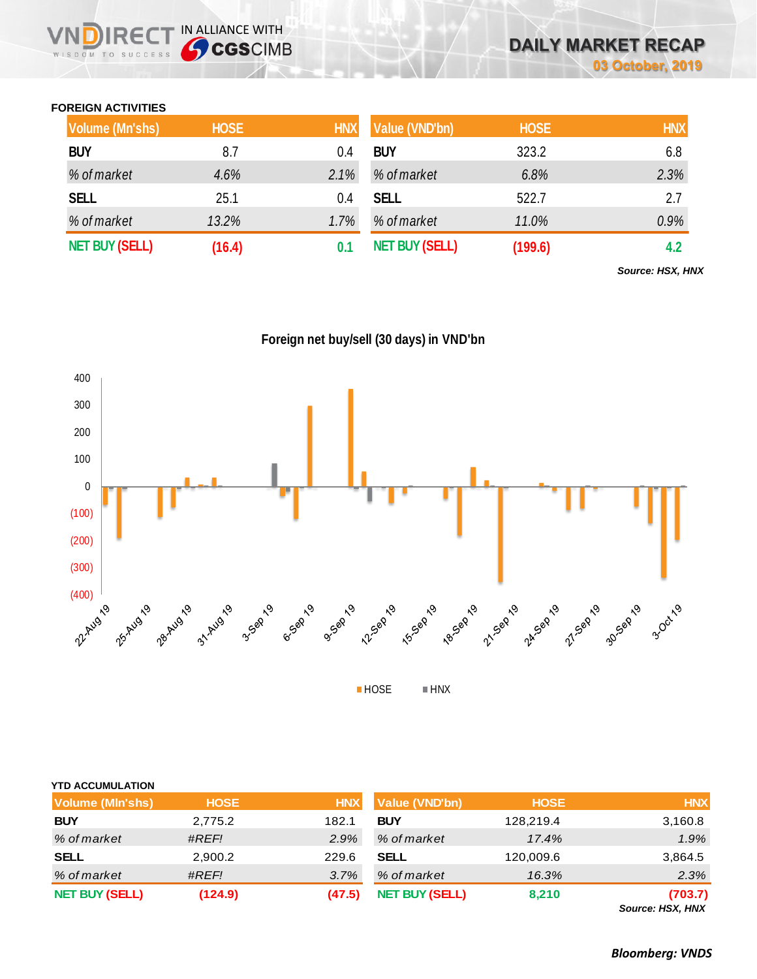## **FOREIGN ACTIVITIES**

WISDOM TO SUCCESS

 $R \in C$ 

IN ALLIANCE WITH

| Volume (Mn'shs)       | <b>HOSE</b> | <b>HNX</b> | Value (VND'bn)        | <b>HOSE</b> | <b>HNX</b> |
|-----------------------|-------------|------------|-----------------------|-------------|------------|
| <b>BUY</b>            | 8.7         | 0.4        | <b>BUY</b>            | 323.2       | 6.8        |
| % of market           | 4.6%        | 2.1%       | % of market           | 6.8%        | 2.3%       |
| <b>SELL</b>           | 25.1        | 0.4        | <b>SELL</b>           | 522.7       | 2.7        |
| % of market           | 13.2%       | 1.7%       | % of market           | 11.0%       | 0.9%       |
| <b>NET BUY (SELL)</b> | (16.4)      | 0.1        | <b>NET BUY (SELL)</b> | (199.6)     | 4.2        |

*Source: HSX, HNX*





| <b>YTD ACCUMULATION</b> |             |            |                       |             |            |
|-------------------------|-------------|------------|-----------------------|-------------|------------|
| <b>Volume (MIn'shs)</b> | <b>HOSE</b> | <b>HNX</b> | Value (VND'bn)        | <b>HOSE</b> | <b>HNX</b> |
| <b>BUY</b>              | 2,775.2     | 182.1      | <b>BUY</b>            | 128,219.4   | 3,160.8    |
| % of market             | #REF!       | 2.9%       | % of market           | 17.4%       | 1.9%       |
| <b>SELL</b>             | 2,900.2     | 229.6      | <b>SELL</b>           | 120,009.6   | 3,864.5    |
| % of market             | #REF!       | 3.7%       | % of market           | 16.3%       | 2.3%       |
| <b>NET BUY (SELL)</b>   | (124.9)     | (47.5)     | <b>NET BUY (SELL)</b> | 8,210       | (703.7)    |

*Source: HSX, HNX*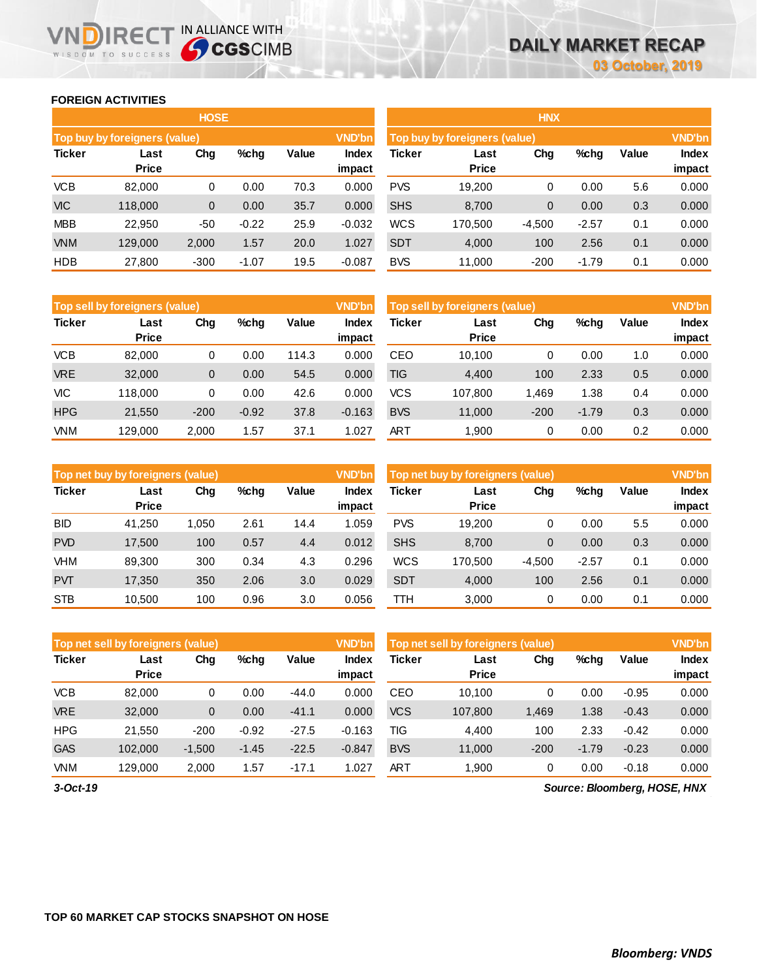### **FOREIGN ACTIVITIES**

WISDOM TO SUCCESS

|         |              |                               |             |               | <b>HNX</b>                    |         |              |         |       |        |  |
|---------|--------------|-------------------------------|-------------|---------------|-------------------------------|---------|--------------|---------|-------|--------|--|
|         |              |                               |             | <b>VND'bn</b> | Top buy by foreigners (value) |         |              |         |       |        |  |
| Last    | Chg          | %chg                          | Value       | <b>Index</b>  | <b>Ticker</b>                 | Last    | Chg          | %chg    | Value | Index  |  |
|         |              |                               |             |               |                               |         |              |         |       | impact |  |
| 82,000  | 0            | 0.00                          | 70.3        | 0.000         | <b>PVS</b>                    | 19,200  | 0            | 0.00    | 5.6   | 0.000  |  |
| 118,000 | $\mathbf 0$  | 0.00                          | 35.7        | 0.000         | <b>SHS</b>                    | 8,700   | $\mathbf{0}$ | 0.00    | 0.3   | 0.000  |  |
| 22,950  | -50          | $-0.22$                       | 25.9        | $-0.032$      | <b>WCS</b>                    | 170,500 | $-4,500$     | $-2.57$ | 0.1   | 0.000  |  |
| 129,000 | 2,000        | 1.57                          | 20.0        | 1.027         | <b>SDT</b>                    | 4,000   | 100          | 2.56    | 0.1   | 0.000  |  |
| 27,800  | $-300$       | $-1.07$                       | 19.5        | $-0.087$      | <b>BVS</b>                    | 11,000  | $-200$       | $-1.79$ | 0.1   | 0.000  |  |
|         | <b>Price</b> | Top buy by foreigners (value) | <b>HOSE</b> |               | impact                        |         | <b>Price</b> |         |       |        |  |

**IRECT IN ALLIANCE WITH** 

| HNX           |                               |          |         |       |              |  |  |  |  |  |  |  |  |
|---------------|-------------------------------|----------|---------|-------|--------------|--|--|--|--|--|--|--|--|
|               | Top buy by foreigners (value) |          |         |       |              |  |  |  |  |  |  |  |  |
| <b>Ticker</b> | Last                          | Cha      | %chq    | Value | <b>Index</b> |  |  |  |  |  |  |  |  |
|               | <b>Price</b>                  |          |         |       | impact       |  |  |  |  |  |  |  |  |
| <b>PVS</b>    | 19,200                        | 0        | 0.00    | 5.6   | 0.000        |  |  |  |  |  |  |  |  |
| <b>SHS</b>    | 8,700                         | 0        | 0.00    | 0.3   | 0.000        |  |  |  |  |  |  |  |  |
| <b>WCS</b>    | 170,500                       | $-4,500$ | $-2.57$ | 0.1   | 0.000        |  |  |  |  |  |  |  |  |
| <b>SDT</b>    | 4,000                         | 100      | 2.56    | 0.1   | 0.000        |  |  |  |  |  |  |  |  |
| <b>BVS</b>    | 11,000                        | $-200$   | $-1.79$ | 0.1   | 0.000        |  |  |  |  |  |  |  |  |

|               | <b>VND'bn</b><br>Top sell by foreigners (value) |        |         |       |                        |               | Top sell by foreigners (value) |        |         |       |                 |
|---------------|-------------------------------------------------|--------|---------|-------|------------------------|---------------|--------------------------------|--------|---------|-------|-----------------|
| <b>Ticker</b> | Last<br><b>Price</b>                            | Chg    | $%$ chq | Value | <b>Index</b><br>impact | <b>Ticker</b> | Last<br><b>Price</b>           | Chg    | %chg    | Value | Index<br>impact |
| <b>VCB</b>    | 82,000                                          | 0      | 0.00    | 114.3 | 0.000                  | CEO           | 10.100                         | 0      | 0.00    | 1.0   | 0.000           |
| <b>VRE</b>    | 32,000                                          | 0      | 0.00    | 54.5  | 0.000                  | <b>TIG</b>    | 4,400                          | 100    | 2.33    | 0.5   | 0.000           |
| VIC           | 118,000                                         | 0      | 0.00    | 42.6  | 0.000                  | <b>VCS</b>    | 107.800                        | 1.469  | 1.38    | 0.4   | 0.000           |
| <b>HPG</b>    | 21,550                                          | $-200$ | $-0.92$ | 37.8  | $-0.163$               | <b>BVS</b>    | 11,000                         | $-200$ | $-1.79$ | 0.3   | 0.000           |
| <b>VNM</b>    | 129,000                                         | 2,000  | 1.57    | 37.1  | 1.027                  | ART           | 1,900                          | 0      | 0.00    | 0.2   | 0.000           |

|               | Top net buy by foreigners (value) |       |         |       | <b>VND'bn</b>   | Top net buy by foreigners (value) |                      | <b>VND'bn</b> |         |       |                 |
|---------------|-----------------------------------|-------|---------|-------|-----------------|-----------------------------------|----------------------|---------------|---------|-------|-----------------|
| <b>Ticker</b> | Last<br><b>Price</b>              | Chg   | $%$ chg | Value | Index<br>impact | Ticker                            | Last<br><b>Price</b> | Chg           | %chg    | Value | Index<br>impact |
| <b>BID</b>    | 41,250                            | 1,050 | 2.61    | 14.4  | 1.059           | <b>PVS</b>                        | 19.200               | 0             | 0.00    | 5.5   | 0.000           |
| <b>PVD</b>    | 17,500                            | 100   | 0.57    | 4.4   | 0.012           | <b>SHS</b>                        | 8,700                | 0             | 0.00    | 0.3   | 0.000           |
| <b>VHM</b>    | 89.300                            | 300   | 0.34    | 4.3   | 0.296           | <b>WCS</b>                        | 170.500              | $-4,500$      | $-2.57$ | 0.1   | 0.000           |
| <b>PVT</b>    | 17,350                            | 350   | 2.06    | 3.0   | 0.029           | <b>SDT</b>                        | 4,000                | 100           | 2.56    | 0.1   | 0.000           |
| <b>STB</b>    | 10.500                            | 100   | 0.96    | 3.0   | 0.056           | ттн                               | 3.000                | 0             | 0.00    | 0.1   | 0.000           |

|               | Top net sell by foreigners (value) |          |         |         | <b>VND'bn</b>   | Top net sell by foreigners (value) | <b>VND'bn</b>        |        |         |         |                        |
|---------------|------------------------------------|----------|---------|---------|-----------------|------------------------------------|----------------------|--------|---------|---------|------------------------|
| <b>Ticker</b> | Last<br><b>Price</b>               | Chg      | %chg    | Value   | Index<br>impact | Ticker                             | Last<br><b>Price</b> | Chg    | %chg    | Value   | <b>Index</b><br>impact |
| <b>VCB</b>    | 82,000                             | 0        | 0.00    | $-44.0$ | 0.000           | CEO                                | 10.100               | 0      | 0.00    | $-0.95$ | 0.000                  |
| <b>VRE</b>    | 32,000                             | 0        | 0.00    | $-41.1$ | 0.000           | <b>VCS</b>                         | 107,800              | 1,469  | 1.38    | $-0.43$ | 0.000                  |
| <b>HPG</b>    | 21,550                             | $-200$   | $-0.92$ | $-27.5$ | $-0.163$        | TIG                                | 4,400                | 100    | 2.33    | $-0.42$ | 0.000                  |
| <b>GAS</b>    | 102,000                            | $-1,500$ | $-1.45$ | $-22.5$ | $-0.847$        | <b>BVS</b>                         | 11,000               | $-200$ | $-1.79$ | $-0.23$ | 0.000                  |
| <b>VNM</b>    | 129,000                            | 2,000    | 1.57    | $-17.1$ | 027. ،          | <b>ART</b>                         | 1,900                | 0      | 0.00    | $-0.18$ | 0.000                  |

*3-Oct-19*

*Source: Bloomberg, HOSE, HNX*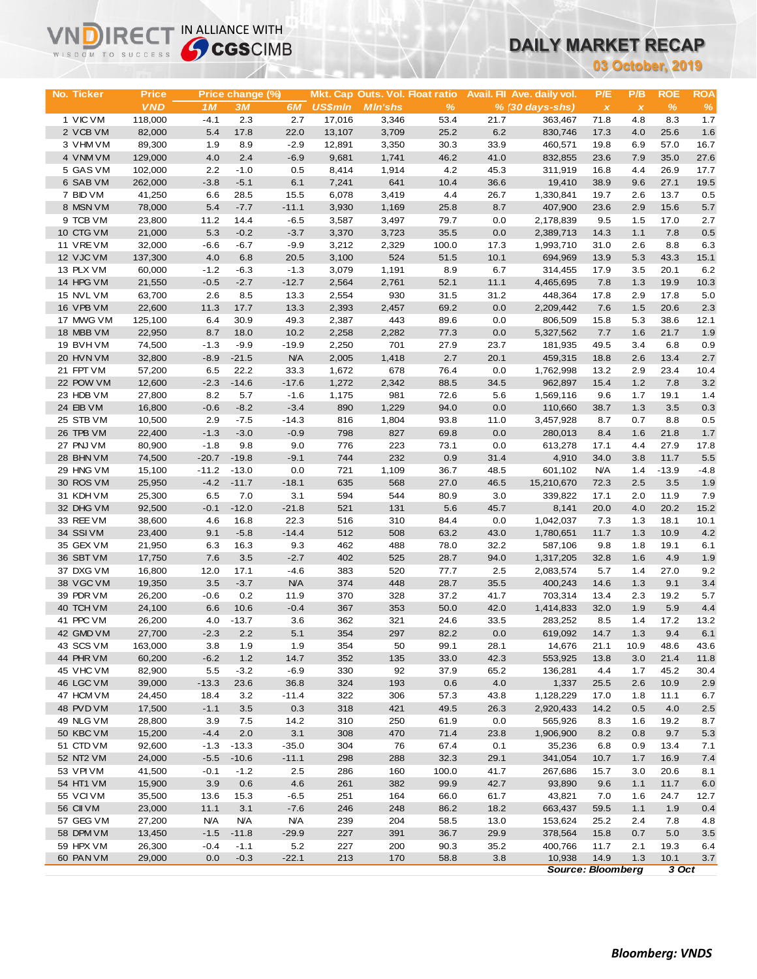# **DAILY MARKET RECAP**

| 03 October, 2019<br><b>ROE</b><br><b>Price</b><br>Price change (%)<br>Mkt. Cap Outs. Vol. Float ratio<br>Avail. Fil Ave. daily vol.<br>P/E<br>P/B<br>No. Ticker<br><b>VND</b><br>3M<br><b>US\$mln</b><br><b>MIn'shs</b><br>%<br>$\frac{9}{6}$<br>1 <sub>M</sub><br>6M<br>$% (30 \, days - shs)$<br>$\pmb{\times}$<br>$\pmb{\chi}$<br>1 VIC VM<br>118,000<br>$-4.1$<br>2.3<br>2.7<br>17,016<br>3,346<br>53.4<br>21.7<br>71.8<br>4.8<br>8.3<br>363,467<br>2 VCB VM<br>82,000<br>17.8<br>22.0<br>13,107<br>3,709<br>25.2<br>6.2<br>4.0<br>25.6<br>5.4<br>830,746<br>17.3<br>3 VHM VM<br>1.9<br>8.9<br>$-2.9$<br>33.9<br>57.0<br>89,300<br>12,891<br>3,350<br>30.3<br>460,571<br>19.8<br>6.9<br>4 VNM VM<br>2.4<br>41.0<br>35.0<br>27.6<br>129,000<br>4.0<br>$-6.9$<br>9,681<br>1,741<br>46.2<br>832,855<br>23.6<br>7.9<br>5 GAS VM<br>2.2<br>102,000<br>$-1.0$<br>0.5<br>8,414<br>1,914<br>4.2<br>45.3<br>16.8<br>4.4<br>26.9<br>17.7<br>311,919<br>6 SAB VM<br>262,000<br>$-3.8$<br>$-5.1$<br>6.1<br>10.4<br>36.6<br>27.1<br>7,241<br>641<br>19,410<br>38.9<br>9.6<br>19.5<br>7 BID VM<br>41,250<br>3,419<br>4.4<br>6.6<br>28.5<br>15.5<br>6,078<br>26.7<br>1,330,841<br>19.7<br>2.6<br>13.7<br>0.5<br>8 MSN VM<br>5.4<br>$-7.7$<br>15.6<br>5.7<br>78,000<br>$-11.1$<br>3,930<br>1,169<br>25.8<br>8.7<br>407,900<br>23.6<br>2.9<br>9 TCB VM<br>17.0<br>23,800<br>11.2<br>14.4<br>$-6.5$<br>3,587<br>3,497<br>79.7<br>0.0<br>2,178,839<br>9.5<br>1.5<br>10 CTG VM<br>21,000<br>5.3<br>$-0.2$<br>35.5<br>0.0<br>2,389,713<br>1.1<br>7.8<br>$-3.7$<br>3,370<br>3,723<br>14.3<br>32,000<br>11 VREVM<br>$-6.6$<br>$-6.7$<br>$-9.9$<br>3,212<br>2,329<br>100.0<br>17.3<br>1,993,710<br>31.0<br>2.6<br>8.8<br>12 VJC VM<br>524<br>51.5<br>10.1<br>43.3<br>137,300<br>4.0<br>6.8<br>20.5<br>3,100<br>694,969<br>13.9<br>5.3<br>$-1.2$<br>13 PLX VM<br>60,000<br>$-6.3$<br>$-1.3$<br>3,079<br>1,191<br>8.9<br>6.7<br>17.9<br>3.5<br>20.1<br>314,455<br>14 HPG VM<br>$-2.7$<br>$-12.7$<br>2,564<br>52.1<br>11.1<br>19.9<br>21,550<br>$-0.5$<br>2,761<br>4,465,695<br>7.8<br>1.3<br>15 NVL VM<br>63,700<br>2.6<br>8.5<br>13.3<br>2,554<br>930<br>31.5<br>31.2<br>448,364<br>17.8<br>2.9<br>17.8<br>16 VPB VM<br>20.6<br>22,600<br>11.3<br>17.7<br>13.3<br>2,393<br>2,457<br>69.2<br>0.0<br>2,209,442<br>7.6<br>1.5<br>49.3<br>17 MWG VM<br>125,100<br>6.4<br>30.9<br>2,387<br>443<br>89.6<br>0.0<br>806,509<br>15.8<br>5.3<br>38.6<br>18 MBB VM<br>22,950<br>8.7<br>18.0<br>10.2<br>2,282<br>0.0<br>7.7<br>21.7<br>1.9<br>2,258<br>77.3<br>5,327,562<br>1.6<br>19 BVHVM<br>$-1.3$<br>$-9.9$<br>$-19.9$<br>2,250<br>701<br>6.8<br>74,500<br>27.9<br>23.7<br>181,935<br>49.5<br>3.4<br>0.9<br>20 HVN VM<br><b>N/A</b><br>2.7<br>13.4<br>2.7<br>32,800<br>$-8.9$<br>$-21.5$<br>2,005<br>1,418<br>20.1<br>459,315<br>18.8<br>2.6<br>21 FPT VM<br>57,200<br>6.5<br>22.2<br>33.3<br>1,672<br>678<br>76.4<br>0.0<br>1,762,998<br>13.2<br>2.9<br>23.4<br>10.4<br>22 POW VM<br>$-2.3$<br>$-17.6$<br>88.5<br>1.2<br>7.8<br>12,600<br>$-14.6$<br>1,272<br>2,342<br>34.5<br>962,897<br>15.4<br>3.2<br>23 HDB VM<br>8.2<br>27,800<br>5.7<br>$-1.6$<br>1,175<br>981<br>72.6<br>5.6<br>1,569,116<br>9.6<br>1.7<br>19.1<br>24 EIB VM<br>16,800<br>$-0.6$<br>$-8.2$<br>$-3.4$<br>890<br>1,229<br>94.0<br>0.0<br>110,660<br>38.7<br>1.3<br>3.5<br>2.9<br>$-7.5$<br>$-14.3$<br>93.8<br>11.0<br>0.7<br>8.8<br>25 STB VM<br>10,500<br>816<br>1,804<br>3,457,928<br>8.7<br>26 TPB VM<br>22,400<br>$-1.3$<br>$-3.0$<br>$-0.9$<br>798<br>69.8<br>0.0<br>280,013<br>1.6<br>21.8<br>827<br>8.4<br>27 PNJ VM<br>80,900<br>$-1.8$<br>9.8<br>776<br>223<br>27.9<br>9.0<br>73.1<br>0.0<br>613,278<br>17.1<br>4.4<br>$-20.7$<br>744<br>232<br>0.9<br>11.7<br>28 BHN VM<br>74,500<br>$-19.8$<br>$-9.1$<br>31.4<br>4,910<br>34.0<br>3.8<br>$-11.2$<br>721<br>36.7<br>$-13.9$<br>29 HNG VM<br>15,100<br>$-13.0$<br>0.0<br>1,109<br>48.5<br>601,102<br><b>N/A</b><br>1.4<br>30 ROS VM<br>$-4.2$<br>$-11.7$<br>635<br>27.0<br>25,950<br>$-18.1$<br>568<br>46.5<br>15,210,670<br>72.3<br>2.5<br>3.5<br>31 KDH VM<br>7.0<br>594<br>3.0<br>11.9<br>25,300<br>6.5<br>3.1<br>544<br>80.9<br>339,822<br>17.1<br>2.0<br>32 DHG VM<br>$-12.0$<br>$-21.8$<br>521<br>5.6<br>20.2<br>15.2<br>92,500<br>$-0.1$<br>131<br>45.7<br>8,141<br>20.0<br>4.0<br>33 REE VM<br>22.3<br>38,600<br>4.6<br>16.8<br>516<br>310<br>84.4<br>0.0<br>1,042,037<br>7.3<br>1.3<br>18.1<br>10.1<br>34 SSIVM<br>9.1<br>$-5.8$<br>$-14.4$<br>512<br>508<br>63.2<br>43.0<br>1.3<br>10.9<br>4.2<br>23,400<br>1,780,651<br>11.7<br>35 GEX VM<br>462<br>32.2<br>19.1<br>21,950<br>6.3<br>16.3<br>9.3<br>488<br>78.0<br>587,106<br>9.8<br>1.8<br>6.1<br>17,750<br>402<br>4.9<br>36 SBT VM<br>7.6<br>3.5<br>$-2.7$<br>525<br>28.7<br>94.0<br>1,317,205<br>32.8<br>1.6<br>1.9<br>37 DXG VM<br>16,800<br>12.0<br>17.1<br>$-4.6$<br>383<br>520<br>77.7<br>2.5<br>2,083,574<br>5.7<br>1.4<br>27.0<br>38 VGC VM<br>3.5<br>$-3.7$<br><b>N/A</b><br>374<br>448<br>28.7<br>35.5<br>1.3<br>9.1<br>19,350<br>400,243<br>14.6<br>370<br>328<br>19.2<br>39 PDR VM<br>26,200<br>$-0.6$<br>0.2<br>11.9<br>37.2<br>41.7<br>703,314<br>13.4<br>2.3<br>40 TCH VM<br>24,100<br>10.6<br>$-0.4$<br>367<br>353<br>50.0<br>42.0<br>1,414,833<br>5.9<br>6.6<br>32.0<br>1.9<br>41 PPC VM<br>26,200<br>$-13.7$<br>362<br>4.0<br>3.6<br>321<br>24.6<br>33.5<br>283,252<br>8.5<br>1.4<br>17.2<br>42 GMD VM<br>27,700<br>2.2<br>5.1<br>354<br>82.2<br>0.0<br>619,092<br>1.3<br>9.4<br>$-2.3$<br>297<br>14.7<br>43 SCS VM<br>28.1<br>163,000<br>3.8<br>1.9<br>1.9<br>354<br>50<br>99.1<br>14,676<br>10.9<br>48.6<br>21.1<br>44 PHR VM<br>1.2<br>60,200<br>$-6.2$<br>14.7<br>352<br>135<br>33.0<br>42.3<br>553,925<br>13.8<br>3.0<br>21.4<br>45 VHC VM<br>82,900<br>330<br>5.5<br>$-3.2$<br>$-6.9$<br>92<br>37.9<br>65.2<br>136,281<br>45.2<br>30.4<br>4.4<br>1.7<br>324<br>4.0<br>1,337<br>46 LGC VM<br>39,000<br>$-13.3$<br>23.6<br>36.8<br>193<br>0.6<br>25.5<br>2.6<br>10.9<br>2.9<br>$-11.4$<br>322<br>47 HCM VM<br>24,450<br>18.4<br>3.2<br>306<br>57.3<br>43.8<br>1,128,229<br>17.0<br>1.8<br>11.1<br>6.7<br>48 PVD VM<br>17,500<br>$-1.1$<br>0.3<br>3.5<br>318<br>421<br>49.5<br>26.3<br>2,920,433<br>14.2<br>0.5<br>4.0<br>2.5<br>49 NLG VM<br>310<br>28,800<br>3.9<br>7.5<br>14.2<br>250<br>61.9<br>0.0<br>565,926<br>8.3<br>19.2<br>1.6<br>50 KBC VM<br>$-4.4$<br>2.0<br>3.1<br>308<br>470<br>71.4<br>23.8<br>1,906,900<br>9.7<br>15,200<br>8.2<br>0.8<br>51 CTD VM<br>$-35.0$<br>304<br>92,600<br>$-1.3$<br>$-13.3$<br>76<br>67.4<br>0.1<br>35,236<br>6.8<br>0.9<br>13.4<br>52 NT2 VM<br>24,000<br>$-5.5$<br>$-10.6$<br>$-11.1$<br>298<br>288<br>32.3<br>29.1<br>341,054<br>10.7<br>1.7<br>16.9<br>41.7<br>53 VPI VM<br>41,500<br>$-0.1$<br>$-1.2$<br>2.5<br>286<br>160<br>100.0<br>267,686<br>15.7<br>3.0<br>20.6<br>54 HT1 VM<br>3.9<br>0.6<br>4.6<br>261<br>99.9<br>42.7<br>15,900<br>382<br>93,890<br>9.6<br>1.1<br>11.7<br>55 VCIVM<br>35,500<br>13.6<br>15.3<br>$-6.5$<br>251<br>164<br>66.0<br>61.7<br>43,821<br>7.0<br>24.7<br>1.6<br>56 CII VM<br>23,000<br>11.1<br>3.1<br>$-7.6$<br>246<br>248<br>86.2<br>18.2<br>663,437<br>59.5<br>1.1<br>1.9<br><b>N/A</b><br><b>N/A</b><br>239<br>57 GEG VM<br>27,200<br><b>N/A</b><br>204<br>58.5<br>13.0<br>153,624<br>25.2<br>2.4<br>7.8<br>58 DPM VM<br>13,450<br>$-29.9$<br>227<br>36.7<br>29.9<br>378,564<br>$-1.5$<br>$-11.8$<br>391<br>15.8<br>0.7<br>5.0<br>59 HPX VM<br>26,300<br>5.2<br>227<br>35.2<br>$-0.4$<br>$-1.1$<br>200<br>90.3<br>400,766<br>11.7<br>2.1<br>19.3<br>$-22.1$<br>60 PAN VM<br>29,000<br>0.0<br>$-0.3$<br>213<br>170<br>58.8<br>3.8<br>10,938<br>14.9<br>1.3<br>10.1<br>3.7 | WISDOM TO SUCCESS | <b>47 CGS</b> CIMB |  |  |  |  |  | DAILY MARKET RECAP |  |  |  |  |            |
|------------------------------------------------------------------------------------------------------------------------------------------------------------------------------------------------------------------------------------------------------------------------------------------------------------------------------------------------------------------------------------------------------------------------------------------------------------------------------------------------------------------------------------------------------------------------------------------------------------------------------------------------------------------------------------------------------------------------------------------------------------------------------------------------------------------------------------------------------------------------------------------------------------------------------------------------------------------------------------------------------------------------------------------------------------------------------------------------------------------------------------------------------------------------------------------------------------------------------------------------------------------------------------------------------------------------------------------------------------------------------------------------------------------------------------------------------------------------------------------------------------------------------------------------------------------------------------------------------------------------------------------------------------------------------------------------------------------------------------------------------------------------------------------------------------------------------------------------------------------------------------------------------------------------------------------------------------------------------------------------------------------------------------------------------------------------------------------------------------------------------------------------------------------------------------------------------------------------------------------------------------------------------------------------------------------------------------------------------------------------------------------------------------------------------------------------------------------------------------------------------------------------------------------------------------------------------------------------------------------------------------------------------------------------------------------------------------------------------------------------------------------------------------------------------------------------------------------------------------------------------------------------------------------------------------------------------------------------------------------------------------------------------------------------------------------------------------------------------------------------------------------------------------------------------------------------------------------------------------------------------------------------------------------------------------------------------------------------------------------------------------------------------------------------------------------------------------------------------------------------------------------------------------------------------------------------------------------------------------------------------------------------------------------------------------------------------------------------------------------------------------------------------------------------------------------------------------------------------------------------------------------------------------------------------------------------------------------------------------------------------------------------------------------------------------------------------------------------------------------------------------------------------------------------------------------------------------------------------------------------------------------------------------------------------------------------------------------------------------------------------------------------------------------------------------------------------------------------------------------------------------------------------------------------------------------------------------------------------------------------------------------------------------------------------------------------------------------------------------------------------------------------------------------------------------------------------------------------------------------------------------------------------------------------------------------------------------------------------------------------------------------------------------------------------------------------------------------------------------------------------------------------------------------------------------------------------------------------------------------------------------------------------------------------------------------------------------------------------------------------------------------------------------------------------------------------------------------------------------------------------------------------------------------------------------------------------------------------------------------------------------------------------------------------------------------------------------------------------------------------------------------------------------------------------------------------------------------------------------------------------------------------------------------------------------------------------------------------------------------------------------------------------------------------------------------------------------------------------------------------------------------------------------------------------------------------------------------------------------------------------------------------------------------------------------------------------------------------------------------------------------------------------------------------------------------------------------------------------------------------------------------------------------------------------------------------------------------------------------------------------------------------------------------------------------------------------------------------------------------------------------------------------------------------------------------------------------------------------------------------------------------------------------------------------------------------------------------------------------------------------------------------------------------------------------------------------------------------------------------------------------------------------------------------------------------------------------------------------------------------------------------------------------------------------------------------------------------------------------------------------------------------------------------------------------------------------------------------------------------------------------------------------------------------------------------------------------------------------------------------------------------------|-------------------|--------------------|--|--|--|--|--|--------------------|--|--|--|--|------------|
|                                                                                                                                                                                                                                                                                                                                                                                                                                                                                                                                                                                                                                                                                                                                                                                                                                                                                                                                                                                                                                                                                                                                                                                                                                                                                                                                                                                                                                                                                                                                                                                                                                                                                                                                                                                                                                                                                                                                                                                                                                                                                                                                                                                                                                                                                                                                                                                                                                                                                                                                                                                                                                                                                                                                                                                                                                                                                                                                                                                                                                                                                                                                                                                                                                                                                                                                                                                                                                                                                                                                                                                                                                                                                                                                                                                                                                                                                                                                                                                                                                                                                                                                                                                                                                                                                                                                                                                                                                                                                                                                                                                                                                                                                                                                                                                                                                                                                                                                                                                                                                                                                                                                                                                                                                                                                                                                                                                                                                                                                                                                                                                                                                                                                                                                                                                                                                                                                                                                                                                                                                                                                                                                                                                                                                                                                                                                                                                                                                                                                                                                                                                                                                                                                                                                                                                                                                                                                                                                                                                                                                                                                                                                                                                                                                                                                                                                                                                                                                                                                                                                                                                                                                                |                   |                    |  |  |  |  |  |                    |  |  |  |  |            |
|                                                                                                                                                                                                                                                                                                                                                                                                                                                                                                                                                                                                                                                                                                                                                                                                                                                                                                                                                                                                                                                                                                                                                                                                                                                                                                                                                                                                                                                                                                                                                                                                                                                                                                                                                                                                                                                                                                                                                                                                                                                                                                                                                                                                                                                                                                                                                                                                                                                                                                                                                                                                                                                                                                                                                                                                                                                                                                                                                                                                                                                                                                                                                                                                                                                                                                                                                                                                                                                                                                                                                                                                                                                                                                                                                                                                                                                                                                                                                                                                                                                                                                                                                                                                                                                                                                                                                                                                                                                                                                                                                                                                                                                                                                                                                                                                                                                                                                                                                                                                                                                                                                                                                                                                                                                                                                                                                                                                                                                                                                                                                                                                                                                                                                                                                                                                                                                                                                                                                                                                                                                                                                                                                                                                                                                                                                                                                                                                                                                                                                                                                                                                                                                                                                                                                                                                                                                                                                                                                                                                                                                                                                                                                                                                                                                                                                                                                                                                                                                                                                                                                                                                                                                |                   |                    |  |  |  |  |  |                    |  |  |  |  |            |
|                                                                                                                                                                                                                                                                                                                                                                                                                                                                                                                                                                                                                                                                                                                                                                                                                                                                                                                                                                                                                                                                                                                                                                                                                                                                                                                                                                                                                                                                                                                                                                                                                                                                                                                                                                                                                                                                                                                                                                                                                                                                                                                                                                                                                                                                                                                                                                                                                                                                                                                                                                                                                                                                                                                                                                                                                                                                                                                                                                                                                                                                                                                                                                                                                                                                                                                                                                                                                                                                                                                                                                                                                                                                                                                                                                                                                                                                                                                                                                                                                                                                                                                                                                                                                                                                                                                                                                                                                                                                                                                                                                                                                                                                                                                                                                                                                                                                                                                                                                                                                                                                                                                                                                                                                                                                                                                                                                                                                                                                                                                                                                                                                                                                                                                                                                                                                                                                                                                                                                                                                                                                                                                                                                                                                                                                                                                                                                                                                                                                                                                                                                                                                                                                                                                                                                                                                                                                                                                                                                                                                                                                                                                                                                                                                                                                                                                                                                                                                                                                                                                                                                                                                                                |                   |                    |  |  |  |  |  |                    |  |  |  |  | <b>ROA</b> |
|                                                                                                                                                                                                                                                                                                                                                                                                                                                                                                                                                                                                                                                                                                                                                                                                                                                                                                                                                                                                                                                                                                                                                                                                                                                                                                                                                                                                                                                                                                                                                                                                                                                                                                                                                                                                                                                                                                                                                                                                                                                                                                                                                                                                                                                                                                                                                                                                                                                                                                                                                                                                                                                                                                                                                                                                                                                                                                                                                                                                                                                                                                                                                                                                                                                                                                                                                                                                                                                                                                                                                                                                                                                                                                                                                                                                                                                                                                                                                                                                                                                                                                                                                                                                                                                                                                                                                                                                                                                                                                                                                                                                                                                                                                                                                                                                                                                                                                                                                                                                                                                                                                                                                                                                                                                                                                                                                                                                                                                                                                                                                                                                                                                                                                                                                                                                                                                                                                                                                                                                                                                                                                                                                                                                                                                                                                                                                                                                                                                                                                                                                                                                                                                                                                                                                                                                                                                                                                                                                                                                                                                                                                                                                                                                                                                                                                                                                                                                                                                                                                                                                                                                                                                |                   |                    |  |  |  |  |  |                    |  |  |  |  | $\%$       |
|                                                                                                                                                                                                                                                                                                                                                                                                                                                                                                                                                                                                                                                                                                                                                                                                                                                                                                                                                                                                                                                                                                                                                                                                                                                                                                                                                                                                                                                                                                                                                                                                                                                                                                                                                                                                                                                                                                                                                                                                                                                                                                                                                                                                                                                                                                                                                                                                                                                                                                                                                                                                                                                                                                                                                                                                                                                                                                                                                                                                                                                                                                                                                                                                                                                                                                                                                                                                                                                                                                                                                                                                                                                                                                                                                                                                                                                                                                                                                                                                                                                                                                                                                                                                                                                                                                                                                                                                                                                                                                                                                                                                                                                                                                                                                                                                                                                                                                                                                                                                                                                                                                                                                                                                                                                                                                                                                                                                                                                                                                                                                                                                                                                                                                                                                                                                                                                                                                                                                                                                                                                                                                                                                                                                                                                                                                                                                                                                                                                                                                                                                                                                                                                                                                                                                                                                                                                                                                                                                                                                                                                                                                                                                                                                                                                                                                                                                                                                                                                                                                                                                                                                                                                |                   |                    |  |  |  |  |  |                    |  |  |  |  | 1.7        |
|                                                                                                                                                                                                                                                                                                                                                                                                                                                                                                                                                                                                                                                                                                                                                                                                                                                                                                                                                                                                                                                                                                                                                                                                                                                                                                                                                                                                                                                                                                                                                                                                                                                                                                                                                                                                                                                                                                                                                                                                                                                                                                                                                                                                                                                                                                                                                                                                                                                                                                                                                                                                                                                                                                                                                                                                                                                                                                                                                                                                                                                                                                                                                                                                                                                                                                                                                                                                                                                                                                                                                                                                                                                                                                                                                                                                                                                                                                                                                                                                                                                                                                                                                                                                                                                                                                                                                                                                                                                                                                                                                                                                                                                                                                                                                                                                                                                                                                                                                                                                                                                                                                                                                                                                                                                                                                                                                                                                                                                                                                                                                                                                                                                                                                                                                                                                                                                                                                                                                                                                                                                                                                                                                                                                                                                                                                                                                                                                                                                                                                                                                                                                                                                                                                                                                                                                                                                                                                                                                                                                                                                                                                                                                                                                                                                                                                                                                                                                                                                                                                                                                                                                                                                |                   |                    |  |  |  |  |  |                    |  |  |  |  | 1.6        |
|                                                                                                                                                                                                                                                                                                                                                                                                                                                                                                                                                                                                                                                                                                                                                                                                                                                                                                                                                                                                                                                                                                                                                                                                                                                                                                                                                                                                                                                                                                                                                                                                                                                                                                                                                                                                                                                                                                                                                                                                                                                                                                                                                                                                                                                                                                                                                                                                                                                                                                                                                                                                                                                                                                                                                                                                                                                                                                                                                                                                                                                                                                                                                                                                                                                                                                                                                                                                                                                                                                                                                                                                                                                                                                                                                                                                                                                                                                                                                                                                                                                                                                                                                                                                                                                                                                                                                                                                                                                                                                                                                                                                                                                                                                                                                                                                                                                                                                                                                                                                                                                                                                                                                                                                                                                                                                                                                                                                                                                                                                                                                                                                                                                                                                                                                                                                                                                                                                                                                                                                                                                                                                                                                                                                                                                                                                                                                                                                                                                                                                                                                                                                                                                                                                                                                                                                                                                                                                                                                                                                                                                                                                                                                                                                                                                                                                                                                                                                                                                                                                                                                                                                                                                |                   |                    |  |  |  |  |  |                    |  |  |  |  | 16.7       |
|                                                                                                                                                                                                                                                                                                                                                                                                                                                                                                                                                                                                                                                                                                                                                                                                                                                                                                                                                                                                                                                                                                                                                                                                                                                                                                                                                                                                                                                                                                                                                                                                                                                                                                                                                                                                                                                                                                                                                                                                                                                                                                                                                                                                                                                                                                                                                                                                                                                                                                                                                                                                                                                                                                                                                                                                                                                                                                                                                                                                                                                                                                                                                                                                                                                                                                                                                                                                                                                                                                                                                                                                                                                                                                                                                                                                                                                                                                                                                                                                                                                                                                                                                                                                                                                                                                                                                                                                                                                                                                                                                                                                                                                                                                                                                                                                                                                                                                                                                                                                                                                                                                                                                                                                                                                                                                                                                                                                                                                                                                                                                                                                                                                                                                                                                                                                                                                                                                                                                                                                                                                                                                                                                                                                                                                                                                                                                                                                                                                                                                                                                                                                                                                                                                                                                                                                                                                                                                                                                                                                                                                                                                                                                                                                                                                                                                                                                                                                                                                                                                                                                                                                                                                |                   |                    |  |  |  |  |  |                    |  |  |  |  |            |
|                                                                                                                                                                                                                                                                                                                                                                                                                                                                                                                                                                                                                                                                                                                                                                                                                                                                                                                                                                                                                                                                                                                                                                                                                                                                                                                                                                                                                                                                                                                                                                                                                                                                                                                                                                                                                                                                                                                                                                                                                                                                                                                                                                                                                                                                                                                                                                                                                                                                                                                                                                                                                                                                                                                                                                                                                                                                                                                                                                                                                                                                                                                                                                                                                                                                                                                                                                                                                                                                                                                                                                                                                                                                                                                                                                                                                                                                                                                                                                                                                                                                                                                                                                                                                                                                                                                                                                                                                                                                                                                                                                                                                                                                                                                                                                                                                                                                                                                                                                                                                                                                                                                                                                                                                                                                                                                                                                                                                                                                                                                                                                                                                                                                                                                                                                                                                                                                                                                                                                                                                                                                                                                                                                                                                                                                                                                                                                                                                                                                                                                                                                                                                                                                                                                                                                                                                                                                                                                                                                                                                                                                                                                                                                                                                                                                                                                                                                                                                                                                                                                                                                                                                                                |                   |                    |  |  |  |  |  |                    |  |  |  |  |            |
|                                                                                                                                                                                                                                                                                                                                                                                                                                                                                                                                                                                                                                                                                                                                                                                                                                                                                                                                                                                                                                                                                                                                                                                                                                                                                                                                                                                                                                                                                                                                                                                                                                                                                                                                                                                                                                                                                                                                                                                                                                                                                                                                                                                                                                                                                                                                                                                                                                                                                                                                                                                                                                                                                                                                                                                                                                                                                                                                                                                                                                                                                                                                                                                                                                                                                                                                                                                                                                                                                                                                                                                                                                                                                                                                                                                                                                                                                                                                                                                                                                                                                                                                                                                                                                                                                                                                                                                                                                                                                                                                                                                                                                                                                                                                                                                                                                                                                                                                                                                                                                                                                                                                                                                                                                                                                                                                                                                                                                                                                                                                                                                                                                                                                                                                                                                                                                                                                                                                                                                                                                                                                                                                                                                                                                                                                                                                                                                                                                                                                                                                                                                                                                                                                                                                                                                                                                                                                                                                                                                                                                                                                                                                                                                                                                                                                                                                                                                                                                                                                                                                                                                                                                                |                   |                    |  |  |  |  |  |                    |  |  |  |  |            |
|                                                                                                                                                                                                                                                                                                                                                                                                                                                                                                                                                                                                                                                                                                                                                                                                                                                                                                                                                                                                                                                                                                                                                                                                                                                                                                                                                                                                                                                                                                                                                                                                                                                                                                                                                                                                                                                                                                                                                                                                                                                                                                                                                                                                                                                                                                                                                                                                                                                                                                                                                                                                                                                                                                                                                                                                                                                                                                                                                                                                                                                                                                                                                                                                                                                                                                                                                                                                                                                                                                                                                                                                                                                                                                                                                                                                                                                                                                                                                                                                                                                                                                                                                                                                                                                                                                                                                                                                                                                                                                                                                                                                                                                                                                                                                                                                                                                                                                                                                                                                                                                                                                                                                                                                                                                                                                                                                                                                                                                                                                                                                                                                                                                                                                                                                                                                                                                                                                                                                                                                                                                                                                                                                                                                                                                                                                                                                                                                                                                                                                                                                                                                                                                                                                                                                                                                                                                                                                                                                                                                                                                                                                                                                                                                                                                                                                                                                                                                                                                                                                                                                                                                                                                |                   |                    |  |  |  |  |  |                    |  |  |  |  |            |
|                                                                                                                                                                                                                                                                                                                                                                                                                                                                                                                                                                                                                                                                                                                                                                                                                                                                                                                                                                                                                                                                                                                                                                                                                                                                                                                                                                                                                                                                                                                                                                                                                                                                                                                                                                                                                                                                                                                                                                                                                                                                                                                                                                                                                                                                                                                                                                                                                                                                                                                                                                                                                                                                                                                                                                                                                                                                                                                                                                                                                                                                                                                                                                                                                                                                                                                                                                                                                                                                                                                                                                                                                                                                                                                                                                                                                                                                                                                                                                                                                                                                                                                                                                                                                                                                                                                                                                                                                                                                                                                                                                                                                                                                                                                                                                                                                                                                                                                                                                                                                                                                                                                                                                                                                                                                                                                                                                                                                                                                                                                                                                                                                                                                                                                                                                                                                                                                                                                                                                                                                                                                                                                                                                                                                                                                                                                                                                                                                                                                                                                                                                                                                                                                                                                                                                                                                                                                                                                                                                                                                                                                                                                                                                                                                                                                                                                                                                                                                                                                                                                                                                                                                                                |                   |                    |  |  |  |  |  |                    |  |  |  |  | 2.7        |
|                                                                                                                                                                                                                                                                                                                                                                                                                                                                                                                                                                                                                                                                                                                                                                                                                                                                                                                                                                                                                                                                                                                                                                                                                                                                                                                                                                                                                                                                                                                                                                                                                                                                                                                                                                                                                                                                                                                                                                                                                                                                                                                                                                                                                                                                                                                                                                                                                                                                                                                                                                                                                                                                                                                                                                                                                                                                                                                                                                                                                                                                                                                                                                                                                                                                                                                                                                                                                                                                                                                                                                                                                                                                                                                                                                                                                                                                                                                                                                                                                                                                                                                                                                                                                                                                                                                                                                                                                                                                                                                                                                                                                                                                                                                                                                                                                                                                                                                                                                                                                                                                                                                                                                                                                                                                                                                                                                                                                                                                                                                                                                                                                                                                                                                                                                                                                                                                                                                                                                                                                                                                                                                                                                                                                                                                                                                                                                                                                                                                                                                                                                                                                                                                                                                                                                                                                                                                                                                                                                                                                                                                                                                                                                                                                                                                                                                                                                                                                                                                                                                                                                                                                                                |                   |                    |  |  |  |  |  |                    |  |  |  |  | 0.5        |
|                                                                                                                                                                                                                                                                                                                                                                                                                                                                                                                                                                                                                                                                                                                                                                                                                                                                                                                                                                                                                                                                                                                                                                                                                                                                                                                                                                                                                                                                                                                                                                                                                                                                                                                                                                                                                                                                                                                                                                                                                                                                                                                                                                                                                                                                                                                                                                                                                                                                                                                                                                                                                                                                                                                                                                                                                                                                                                                                                                                                                                                                                                                                                                                                                                                                                                                                                                                                                                                                                                                                                                                                                                                                                                                                                                                                                                                                                                                                                                                                                                                                                                                                                                                                                                                                                                                                                                                                                                                                                                                                                                                                                                                                                                                                                                                                                                                                                                                                                                                                                                                                                                                                                                                                                                                                                                                                                                                                                                                                                                                                                                                                                                                                                                                                                                                                                                                                                                                                                                                                                                                                                                                                                                                                                                                                                                                                                                                                                                                                                                                                                                                                                                                                                                                                                                                                                                                                                                                                                                                                                                                                                                                                                                                                                                                                                                                                                                                                                                                                                                                                                                                                                                                |                   |                    |  |  |  |  |  |                    |  |  |  |  | 6.3        |
|                                                                                                                                                                                                                                                                                                                                                                                                                                                                                                                                                                                                                                                                                                                                                                                                                                                                                                                                                                                                                                                                                                                                                                                                                                                                                                                                                                                                                                                                                                                                                                                                                                                                                                                                                                                                                                                                                                                                                                                                                                                                                                                                                                                                                                                                                                                                                                                                                                                                                                                                                                                                                                                                                                                                                                                                                                                                                                                                                                                                                                                                                                                                                                                                                                                                                                                                                                                                                                                                                                                                                                                                                                                                                                                                                                                                                                                                                                                                                                                                                                                                                                                                                                                                                                                                                                                                                                                                                                                                                                                                                                                                                                                                                                                                                                                                                                                                                                                                                                                                                                                                                                                                                                                                                                                                                                                                                                                                                                                                                                                                                                                                                                                                                                                                                                                                                                                                                                                                                                                                                                                                                                                                                                                                                                                                                                                                                                                                                                                                                                                                                                                                                                                                                                                                                                                                                                                                                                                                                                                                                                                                                                                                                                                                                                                                                                                                                                                                                                                                                                                                                                                                                                                |                   |                    |  |  |  |  |  |                    |  |  |  |  | 15.1       |
|                                                                                                                                                                                                                                                                                                                                                                                                                                                                                                                                                                                                                                                                                                                                                                                                                                                                                                                                                                                                                                                                                                                                                                                                                                                                                                                                                                                                                                                                                                                                                                                                                                                                                                                                                                                                                                                                                                                                                                                                                                                                                                                                                                                                                                                                                                                                                                                                                                                                                                                                                                                                                                                                                                                                                                                                                                                                                                                                                                                                                                                                                                                                                                                                                                                                                                                                                                                                                                                                                                                                                                                                                                                                                                                                                                                                                                                                                                                                                                                                                                                                                                                                                                                                                                                                                                                                                                                                                                                                                                                                                                                                                                                                                                                                                                                                                                                                                                                                                                                                                                                                                                                                                                                                                                                                                                                                                                                                                                                                                                                                                                                                                                                                                                                                                                                                                                                                                                                                                                                                                                                                                                                                                                                                                                                                                                                                                                                                                                                                                                                                                                                                                                                                                                                                                                                                                                                                                                                                                                                                                                                                                                                                                                                                                                                                                                                                                                                                                                                                                                                                                                                                                                                |                   |                    |  |  |  |  |  |                    |  |  |  |  | 6.2        |
|                                                                                                                                                                                                                                                                                                                                                                                                                                                                                                                                                                                                                                                                                                                                                                                                                                                                                                                                                                                                                                                                                                                                                                                                                                                                                                                                                                                                                                                                                                                                                                                                                                                                                                                                                                                                                                                                                                                                                                                                                                                                                                                                                                                                                                                                                                                                                                                                                                                                                                                                                                                                                                                                                                                                                                                                                                                                                                                                                                                                                                                                                                                                                                                                                                                                                                                                                                                                                                                                                                                                                                                                                                                                                                                                                                                                                                                                                                                                                                                                                                                                                                                                                                                                                                                                                                                                                                                                                                                                                                                                                                                                                                                                                                                                                                                                                                                                                                                                                                                                                                                                                                                                                                                                                                                                                                                                                                                                                                                                                                                                                                                                                                                                                                                                                                                                                                                                                                                                                                                                                                                                                                                                                                                                                                                                                                                                                                                                                                                                                                                                                                                                                                                                                                                                                                                                                                                                                                                                                                                                                                                                                                                                                                                                                                                                                                                                                                                                                                                                                                                                                                                                                                                |                   |                    |  |  |  |  |  |                    |  |  |  |  | 10.3       |
|                                                                                                                                                                                                                                                                                                                                                                                                                                                                                                                                                                                                                                                                                                                                                                                                                                                                                                                                                                                                                                                                                                                                                                                                                                                                                                                                                                                                                                                                                                                                                                                                                                                                                                                                                                                                                                                                                                                                                                                                                                                                                                                                                                                                                                                                                                                                                                                                                                                                                                                                                                                                                                                                                                                                                                                                                                                                                                                                                                                                                                                                                                                                                                                                                                                                                                                                                                                                                                                                                                                                                                                                                                                                                                                                                                                                                                                                                                                                                                                                                                                                                                                                                                                                                                                                                                                                                                                                                                                                                                                                                                                                                                                                                                                                                                                                                                                                                                                                                                                                                                                                                                                                                                                                                                                                                                                                                                                                                                                                                                                                                                                                                                                                                                                                                                                                                                                                                                                                                                                                                                                                                                                                                                                                                                                                                                                                                                                                                                                                                                                                                                                                                                                                                                                                                                                                                                                                                                                                                                                                                                                                                                                                                                                                                                                                                                                                                                                                                                                                                                                                                                                                                                                |                   |                    |  |  |  |  |  |                    |  |  |  |  | 5.0        |
|                                                                                                                                                                                                                                                                                                                                                                                                                                                                                                                                                                                                                                                                                                                                                                                                                                                                                                                                                                                                                                                                                                                                                                                                                                                                                                                                                                                                                                                                                                                                                                                                                                                                                                                                                                                                                                                                                                                                                                                                                                                                                                                                                                                                                                                                                                                                                                                                                                                                                                                                                                                                                                                                                                                                                                                                                                                                                                                                                                                                                                                                                                                                                                                                                                                                                                                                                                                                                                                                                                                                                                                                                                                                                                                                                                                                                                                                                                                                                                                                                                                                                                                                                                                                                                                                                                                                                                                                                                                                                                                                                                                                                                                                                                                                                                                                                                                                                                                                                                                                                                                                                                                                                                                                                                                                                                                                                                                                                                                                                                                                                                                                                                                                                                                                                                                                                                                                                                                                                                                                                                                                                                                                                                                                                                                                                                                                                                                                                                                                                                                                                                                                                                                                                                                                                                                                                                                                                                                                                                                                                                                                                                                                                                                                                                                                                                                                                                                                                                                                                                                                                                                                                                                |                   |                    |  |  |  |  |  |                    |  |  |  |  | 2.3        |
|                                                                                                                                                                                                                                                                                                                                                                                                                                                                                                                                                                                                                                                                                                                                                                                                                                                                                                                                                                                                                                                                                                                                                                                                                                                                                                                                                                                                                                                                                                                                                                                                                                                                                                                                                                                                                                                                                                                                                                                                                                                                                                                                                                                                                                                                                                                                                                                                                                                                                                                                                                                                                                                                                                                                                                                                                                                                                                                                                                                                                                                                                                                                                                                                                                                                                                                                                                                                                                                                                                                                                                                                                                                                                                                                                                                                                                                                                                                                                                                                                                                                                                                                                                                                                                                                                                                                                                                                                                                                                                                                                                                                                                                                                                                                                                                                                                                                                                                                                                                                                                                                                                                                                                                                                                                                                                                                                                                                                                                                                                                                                                                                                                                                                                                                                                                                                                                                                                                                                                                                                                                                                                                                                                                                                                                                                                                                                                                                                                                                                                                                                                                                                                                                                                                                                                                                                                                                                                                                                                                                                                                                                                                                                                                                                                                                                                                                                                                                                                                                                                                                                                                                                                                |                   |                    |  |  |  |  |  |                    |  |  |  |  | 12.1       |
|                                                                                                                                                                                                                                                                                                                                                                                                                                                                                                                                                                                                                                                                                                                                                                                                                                                                                                                                                                                                                                                                                                                                                                                                                                                                                                                                                                                                                                                                                                                                                                                                                                                                                                                                                                                                                                                                                                                                                                                                                                                                                                                                                                                                                                                                                                                                                                                                                                                                                                                                                                                                                                                                                                                                                                                                                                                                                                                                                                                                                                                                                                                                                                                                                                                                                                                                                                                                                                                                                                                                                                                                                                                                                                                                                                                                                                                                                                                                                                                                                                                                                                                                                                                                                                                                                                                                                                                                                                                                                                                                                                                                                                                                                                                                                                                                                                                                                                                                                                                                                                                                                                                                                                                                                                                                                                                                                                                                                                                                                                                                                                                                                                                                                                                                                                                                                                                                                                                                                                                                                                                                                                                                                                                                                                                                                                                                                                                                                                                                                                                                                                                                                                                                                                                                                                                                                                                                                                                                                                                                                                                                                                                                                                                                                                                                                                                                                                                                                                                                                                                                                                                                                                                |                   |                    |  |  |  |  |  |                    |  |  |  |  |            |
|                                                                                                                                                                                                                                                                                                                                                                                                                                                                                                                                                                                                                                                                                                                                                                                                                                                                                                                                                                                                                                                                                                                                                                                                                                                                                                                                                                                                                                                                                                                                                                                                                                                                                                                                                                                                                                                                                                                                                                                                                                                                                                                                                                                                                                                                                                                                                                                                                                                                                                                                                                                                                                                                                                                                                                                                                                                                                                                                                                                                                                                                                                                                                                                                                                                                                                                                                                                                                                                                                                                                                                                                                                                                                                                                                                                                                                                                                                                                                                                                                                                                                                                                                                                                                                                                                                                                                                                                                                                                                                                                                                                                                                                                                                                                                                                                                                                                                                                                                                                                                                                                                                                                                                                                                                                                                                                                                                                                                                                                                                                                                                                                                                                                                                                                                                                                                                                                                                                                                                                                                                                                                                                                                                                                                                                                                                                                                                                                                                                                                                                                                                                                                                                                                                                                                                                                                                                                                                                                                                                                                                                                                                                                                                                                                                                                                                                                                                                                                                                                                                                                                                                                                                                |                   |                    |  |  |  |  |  |                    |  |  |  |  |            |
|                                                                                                                                                                                                                                                                                                                                                                                                                                                                                                                                                                                                                                                                                                                                                                                                                                                                                                                                                                                                                                                                                                                                                                                                                                                                                                                                                                                                                                                                                                                                                                                                                                                                                                                                                                                                                                                                                                                                                                                                                                                                                                                                                                                                                                                                                                                                                                                                                                                                                                                                                                                                                                                                                                                                                                                                                                                                                                                                                                                                                                                                                                                                                                                                                                                                                                                                                                                                                                                                                                                                                                                                                                                                                                                                                                                                                                                                                                                                                                                                                                                                                                                                                                                                                                                                                                                                                                                                                                                                                                                                                                                                                                                                                                                                                                                                                                                                                                                                                                                                                                                                                                                                                                                                                                                                                                                                                                                                                                                                                                                                                                                                                                                                                                                                                                                                                                                                                                                                                                                                                                                                                                                                                                                                                                                                                                                                                                                                                                                                                                                                                                                                                                                                                                                                                                                                                                                                                                                                                                                                                                                                                                                                                                                                                                                                                                                                                                                                                                                                                                                                                                                                                                                |                   |                    |  |  |  |  |  |                    |  |  |  |  |            |
|                                                                                                                                                                                                                                                                                                                                                                                                                                                                                                                                                                                                                                                                                                                                                                                                                                                                                                                                                                                                                                                                                                                                                                                                                                                                                                                                                                                                                                                                                                                                                                                                                                                                                                                                                                                                                                                                                                                                                                                                                                                                                                                                                                                                                                                                                                                                                                                                                                                                                                                                                                                                                                                                                                                                                                                                                                                                                                                                                                                                                                                                                                                                                                                                                                                                                                                                                                                                                                                                                                                                                                                                                                                                                                                                                                                                                                                                                                                                                                                                                                                                                                                                                                                                                                                                                                                                                                                                                                                                                                                                                                                                                                                                                                                                                                                                                                                                                                                                                                                                                                                                                                                                                                                                                                                                                                                                                                                                                                                                                                                                                                                                                                                                                                                                                                                                                                                                                                                                                                                                                                                                                                                                                                                                                                                                                                                                                                                                                                                                                                                                                                                                                                                                                                                                                                                                                                                                                                                                                                                                                                                                                                                                                                                                                                                                                                                                                                                                                                                                                                                                                                                                                                                |                   |                    |  |  |  |  |  |                    |  |  |  |  |            |
|                                                                                                                                                                                                                                                                                                                                                                                                                                                                                                                                                                                                                                                                                                                                                                                                                                                                                                                                                                                                                                                                                                                                                                                                                                                                                                                                                                                                                                                                                                                                                                                                                                                                                                                                                                                                                                                                                                                                                                                                                                                                                                                                                                                                                                                                                                                                                                                                                                                                                                                                                                                                                                                                                                                                                                                                                                                                                                                                                                                                                                                                                                                                                                                                                                                                                                                                                                                                                                                                                                                                                                                                                                                                                                                                                                                                                                                                                                                                                                                                                                                                                                                                                                                                                                                                                                                                                                                                                                                                                                                                                                                                                                                                                                                                                                                                                                                                                                                                                                                                                                                                                                                                                                                                                                                                                                                                                                                                                                                                                                                                                                                                                                                                                                                                                                                                                                                                                                                                                                                                                                                                                                                                                                                                                                                                                                                                                                                                                                                                                                                                                                                                                                                                                                                                                                                                                                                                                                                                                                                                                                                                                                                                                                                                                                                                                                                                                                                                                                                                                                                                                                                                                                                |                   |                    |  |  |  |  |  |                    |  |  |  |  | 1.4        |
|                                                                                                                                                                                                                                                                                                                                                                                                                                                                                                                                                                                                                                                                                                                                                                                                                                                                                                                                                                                                                                                                                                                                                                                                                                                                                                                                                                                                                                                                                                                                                                                                                                                                                                                                                                                                                                                                                                                                                                                                                                                                                                                                                                                                                                                                                                                                                                                                                                                                                                                                                                                                                                                                                                                                                                                                                                                                                                                                                                                                                                                                                                                                                                                                                                                                                                                                                                                                                                                                                                                                                                                                                                                                                                                                                                                                                                                                                                                                                                                                                                                                                                                                                                                                                                                                                                                                                                                                                                                                                                                                                                                                                                                                                                                                                                                                                                                                                                                                                                                                                                                                                                                                                                                                                                                                                                                                                                                                                                                                                                                                                                                                                                                                                                                                                                                                                                                                                                                                                                                                                                                                                                                                                                                                                                                                                                                                                                                                                                                                                                                                                                                                                                                                                                                                                                                                                                                                                                                                                                                                                                                                                                                                                                                                                                                                                                                                                                                                                                                                                                                                                                                                                                                |                   |                    |  |  |  |  |  |                    |  |  |  |  | 0.3        |
|                                                                                                                                                                                                                                                                                                                                                                                                                                                                                                                                                                                                                                                                                                                                                                                                                                                                                                                                                                                                                                                                                                                                                                                                                                                                                                                                                                                                                                                                                                                                                                                                                                                                                                                                                                                                                                                                                                                                                                                                                                                                                                                                                                                                                                                                                                                                                                                                                                                                                                                                                                                                                                                                                                                                                                                                                                                                                                                                                                                                                                                                                                                                                                                                                                                                                                                                                                                                                                                                                                                                                                                                                                                                                                                                                                                                                                                                                                                                                                                                                                                                                                                                                                                                                                                                                                                                                                                                                                                                                                                                                                                                                                                                                                                                                                                                                                                                                                                                                                                                                                                                                                                                                                                                                                                                                                                                                                                                                                                                                                                                                                                                                                                                                                                                                                                                                                                                                                                                                                                                                                                                                                                                                                                                                                                                                                                                                                                                                                                                                                                                                                                                                                                                                                                                                                                                                                                                                                                                                                                                                                                                                                                                                                                                                                                                                                                                                                                                                                                                                                                                                                                                                                                |                   |                    |  |  |  |  |  |                    |  |  |  |  | 0.5        |
|                                                                                                                                                                                                                                                                                                                                                                                                                                                                                                                                                                                                                                                                                                                                                                                                                                                                                                                                                                                                                                                                                                                                                                                                                                                                                                                                                                                                                                                                                                                                                                                                                                                                                                                                                                                                                                                                                                                                                                                                                                                                                                                                                                                                                                                                                                                                                                                                                                                                                                                                                                                                                                                                                                                                                                                                                                                                                                                                                                                                                                                                                                                                                                                                                                                                                                                                                                                                                                                                                                                                                                                                                                                                                                                                                                                                                                                                                                                                                                                                                                                                                                                                                                                                                                                                                                                                                                                                                                                                                                                                                                                                                                                                                                                                                                                                                                                                                                                                                                                                                                                                                                                                                                                                                                                                                                                                                                                                                                                                                                                                                                                                                                                                                                                                                                                                                                                                                                                                                                                                                                                                                                                                                                                                                                                                                                                                                                                                                                                                                                                                                                                                                                                                                                                                                                                                                                                                                                                                                                                                                                                                                                                                                                                                                                                                                                                                                                                                                                                                                                                                                                                                                                                |                   |                    |  |  |  |  |  |                    |  |  |  |  | 1.7        |
|                                                                                                                                                                                                                                                                                                                                                                                                                                                                                                                                                                                                                                                                                                                                                                                                                                                                                                                                                                                                                                                                                                                                                                                                                                                                                                                                                                                                                                                                                                                                                                                                                                                                                                                                                                                                                                                                                                                                                                                                                                                                                                                                                                                                                                                                                                                                                                                                                                                                                                                                                                                                                                                                                                                                                                                                                                                                                                                                                                                                                                                                                                                                                                                                                                                                                                                                                                                                                                                                                                                                                                                                                                                                                                                                                                                                                                                                                                                                                                                                                                                                                                                                                                                                                                                                                                                                                                                                                                                                                                                                                                                                                                                                                                                                                                                                                                                                                                                                                                                                                                                                                                                                                                                                                                                                                                                                                                                                                                                                                                                                                                                                                                                                                                                                                                                                                                                                                                                                                                                                                                                                                                                                                                                                                                                                                                                                                                                                                                                                                                                                                                                                                                                                                                                                                                                                                                                                                                                                                                                                                                                                                                                                                                                                                                                                                                                                                                                                                                                                                                                                                                                                                                                |                   |                    |  |  |  |  |  |                    |  |  |  |  | 17.8       |
|                                                                                                                                                                                                                                                                                                                                                                                                                                                                                                                                                                                                                                                                                                                                                                                                                                                                                                                                                                                                                                                                                                                                                                                                                                                                                                                                                                                                                                                                                                                                                                                                                                                                                                                                                                                                                                                                                                                                                                                                                                                                                                                                                                                                                                                                                                                                                                                                                                                                                                                                                                                                                                                                                                                                                                                                                                                                                                                                                                                                                                                                                                                                                                                                                                                                                                                                                                                                                                                                                                                                                                                                                                                                                                                                                                                                                                                                                                                                                                                                                                                                                                                                                                                                                                                                                                                                                                                                                                                                                                                                                                                                                                                                                                                                                                                                                                                                                                                                                                                                                                                                                                                                                                                                                                                                                                                                                                                                                                                                                                                                                                                                                                                                                                                                                                                                                                                                                                                                                                                                                                                                                                                                                                                                                                                                                                                                                                                                                                                                                                                                                                                                                                                                                                                                                                                                                                                                                                                                                                                                                                                                                                                                                                                                                                                                                                                                                                                                                                                                                                                                                                                                                                                |                   |                    |  |  |  |  |  |                    |  |  |  |  | 5.5        |
|                                                                                                                                                                                                                                                                                                                                                                                                                                                                                                                                                                                                                                                                                                                                                                                                                                                                                                                                                                                                                                                                                                                                                                                                                                                                                                                                                                                                                                                                                                                                                                                                                                                                                                                                                                                                                                                                                                                                                                                                                                                                                                                                                                                                                                                                                                                                                                                                                                                                                                                                                                                                                                                                                                                                                                                                                                                                                                                                                                                                                                                                                                                                                                                                                                                                                                                                                                                                                                                                                                                                                                                                                                                                                                                                                                                                                                                                                                                                                                                                                                                                                                                                                                                                                                                                                                                                                                                                                                                                                                                                                                                                                                                                                                                                                                                                                                                                                                                                                                                                                                                                                                                                                                                                                                                                                                                                                                                                                                                                                                                                                                                                                                                                                                                                                                                                                                                                                                                                                                                                                                                                                                                                                                                                                                                                                                                                                                                                                                                                                                                                                                                                                                                                                                                                                                                                                                                                                                                                                                                                                                                                                                                                                                                                                                                                                                                                                                                                                                                                                                                                                                                                                                                |                   |                    |  |  |  |  |  |                    |  |  |  |  | $-4.8$     |
|                                                                                                                                                                                                                                                                                                                                                                                                                                                                                                                                                                                                                                                                                                                                                                                                                                                                                                                                                                                                                                                                                                                                                                                                                                                                                                                                                                                                                                                                                                                                                                                                                                                                                                                                                                                                                                                                                                                                                                                                                                                                                                                                                                                                                                                                                                                                                                                                                                                                                                                                                                                                                                                                                                                                                                                                                                                                                                                                                                                                                                                                                                                                                                                                                                                                                                                                                                                                                                                                                                                                                                                                                                                                                                                                                                                                                                                                                                                                                                                                                                                                                                                                                                                                                                                                                                                                                                                                                                                                                                                                                                                                                                                                                                                                                                                                                                                                                                                                                                                                                                                                                                                                                                                                                                                                                                                                                                                                                                                                                                                                                                                                                                                                                                                                                                                                                                                                                                                                                                                                                                                                                                                                                                                                                                                                                                                                                                                                                                                                                                                                                                                                                                                                                                                                                                                                                                                                                                                                                                                                                                                                                                                                                                                                                                                                                                                                                                                                                                                                                                                                                                                                                                                |                   |                    |  |  |  |  |  |                    |  |  |  |  | 1.9        |
|                                                                                                                                                                                                                                                                                                                                                                                                                                                                                                                                                                                                                                                                                                                                                                                                                                                                                                                                                                                                                                                                                                                                                                                                                                                                                                                                                                                                                                                                                                                                                                                                                                                                                                                                                                                                                                                                                                                                                                                                                                                                                                                                                                                                                                                                                                                                                                                                                                                                                                                                                                                                                                                                                                                                                                                                                                                                                                                                                                                                                                                                                                                                                                                                                                                                                                                                                                                                                                                                                                                                                                                                                                                                                                                                                                                                                                                                                                                                                                                                                                                                                                                                                                                                                                                                                                                                                                                                                                                                                                                                                                                                                                                                                                                                                                                                                                                                                                                                                                                                                                                                                                                                                                                                                                                                                                                                                                                                                                                                                                                                                                                                                                                                                                                                                                                                                                                                                                                                                                                                                                                                                                                                                                                                                                                                                                                                                                                                                                                                                                                                                                                                                                                                                                                                                                                                                                                                                                                                                                                                                                                                                                                                                                                                                                                                                                                                                                                                                                                                                                                                                                                                                                                |                   |                    |  |  |  |  |  |                    |  |  |  |  | 7.9        |
|                                                                                                                                                                                                                                                                                                                                                                                                                                                                                                                                                                                                                                                                                                                                                                                                                                                                                                                                                                                                                                                                                                                                                                                                                                                                                                                                                                                                                                                                                                                                                                                                                                                                                                                                                                                                                                                                                                                                                                                                                                                                                                                                                                                                                                                                                                                                                                                                                                                                                                                                                                                                                                                                                                                                                                                                                                                                                                                                                                                                                                                                                                                                                                                                                                                                                                                                                                                                                                                                                                                                                                                                                                                                                                                                                                                                                                                                                                                                                                                                                                                                                                                                                                                                                                                                                                                                                                                                                                                                                                                                                                                                                                                                                                                                                                                                                                                                                                                                                                                                                                                                                                                                                                                                                                                                                                                                                                                                                                                                                                                                                                                                                                                                                                                                                                                                                                                                                                                                                                                                                                                                                                                                                                                                                                                                                                                                                                                                                                                                                                                                                                                                                                                                                                                                                                                                                                                                                                                                                                                                                                                                                                                                                                                                                                                                                                                                                                                                                                                                                                                                                                                                                                                |                   |                    |  |  |  |  |  |                    |  |  |  |  |            |
|                                                                                                                                                                                                                                                                                                                                                                                                                                                                                                                                                                                                                                                                                                                                                                                                                                                                                                                                                                                                                                                                                                                                                                                                                                                                                                                                                                                                                                                                                                                                                                                                                                                                                                                                                                                                                                                                                                                                                                                                                                                                                                                                                                                                                                                                                                                                                                                                                                                                                                                                                                                                                                                                                                                                                                                                                                                                                                                                                                                                                                                                                                                                                                                                                                                                                                                                                                                                                                                                                                                                                                                                                                                                                                                                                                                                                                                                                                                                                                                                                                                                                                                                                                                                                                                                                                                                                                                                                                                                                                                                                                                                                                                                                                                                                                                                                                                                                                                                                                                                                                                                                                                                                                                                                                                                                                                                                                                                                                                                                                                                                                                                                                                                                                                                                                                                                                                                                                                                                                                                                                                                                                                                                                                                                                                                                                                                                                                                                                                                                                                                                                                                                                                                                                                                                                                                                                                                                                                                                                                                                                                                                                                                                                                                                                                                                                                                                                                                                                                                                                                                                                                                                                                |                   |                    |  |  |  |  |  |                    |  |  |  |  |            |
|                                                                                                                                                                                                                                                                                                                                                                                                                                                                                                                                                                                                                                                                                                                                                                                                                                                                                                                                                                                                                                                                                                                                                                                                                                                                                                                                                                                                                                                                                                                                                                                                                                                                                                                                                                                                                                                                                                                                                                                                                                                                                                                                                                                                                                                                                                                                                                                                                                                                                                                                                                                                                                                                                                                                                                                                                                                                                                                                                                                                                                                                                                                                                                                                                                                                                                                                                                                                                                                                                                                                                                                                                                                                                                                                                                                                                                                                                                                                                                                                                                                                                                                                                                                                                                                                                                                                                                                                                                                                                                                                                                                                                                                                                                                                                                                                                                                                                                                                                                                                                                                                                                                                                                                                                                                                                                                                                                                                                                                                                                                                                                                                                                                                                                                                                                                                                                                                                                                                                                                                                                                                                                                                                                                                                                                                                                                                                                                                                                                                                                                                                                                                                                                                                                                                                                                                                                                                                                                                                                                                                                                                                                                                                                                                                                                                                                                                                                                                                                                                                                                                                                                                                                                |                   |                    |  |  |  |  |  |                    |  |  |  |  |            |
|                                                                                                                                                                                                                                                                                                                                                                                                                                                                                                                                                                                                                                                                                                                                                                                                                                                                                                                                                                                                                                                                                                                                                                                                                                                                                                                                                                                                                                                                                                                                                                                                                                                                                                                                                                                                                                                                                                                                                                                                                                                                                                                                                                                                                                                                                                                                                                                                                                                                                                                                                                                                                                                                                                                                                                                                                                                                                                                                                                                                                                                                                                                                                                                                                                                                                                                                                                                                                                                                                                                                                                                                                                                                                                                                                                                                                                                                                                                                                                                                                                                                                                                                                                                                                                                                                                                                                                                                                                                                                                                                                                                                                                                                                                                                                                                                                                                                                                                                                                                                                                                                                                                                                                                                                                                                                                                                                                                                                                                                                                                                                                                                                                                                                                                                                                                                                                                                                                                                                                                                                                                                                                                                                                                                                                                                                                                                                                                                                                                                                                                                                                                                                                                                                                                                                                                                                                                                                                                                                                                                                                                                                                                                                                                                                                                                                                                                                                                                                                                                                                                                                                                                                                                |                   |                    |  |  |  |  |  |                    |  |  |  |  |            |
|                                                                                                                                                                                                                                                                                                                                                                                                                                                                                                                                                                                                                                                                                                                                                                                                                                                                                                                                                                                                                                                                                                                                                                                                                                                                                                                                                                                                                                                                                                                                                                                                                                                                                                                                                                                                                                                                                                                                                                                                                                                                                                                                                                                                                                                                                                                                                                                                                                                                                                                                                                                                                                                                                                                                                                                                                                                                                                                                                                                                                                                                                                                                                                                                                                                                                                                                                                                                                                                                                                                                                                                                                                                                                                                                                                                                                                                                                                                                                                                                                                                                                                                                                                                                                                                                                                                                                                                                                                                                                                                                                                                                                                                                                                                                                                                                                                                                                                                                                                                                                                                                                                                                                                                                                                                                                                                                                                                                                                                                                                                                                                                                                                                                                                                                                                                                                                                                                                                                                                                                                                                                                                                                                                                                                                                                                                                                                                                                                                                                                                                                                                                                                                                                                                                                                                                                                                                                                                                                                                                                                                                                                                                                                                                                                                                                                                                                                                                                                                                                                                                                                                                                                                                |                   |                    |  |  |  |  |  |                    |  |  |  |  | 9.2        |
|                                                                                                                                                                                                                                                                                                                                                                                                                                                                                                                                                                                                                                                                                                                                                                                                                                                                                                                                                                                                                                                                                                                                                                                                                                                                                                                                                                                                                                                                                                                                                                                                                                                                                                                                                                                                                                                                                                                                                                                                                                                                                                                                                                                                                                                                                                                                                                                                                                                                                                                                                                                                                                                                                                                                                                                                                                                                                                                                                                                                                                                                                                                                                                                                                                                                                                                                                                                                                                                                                                                                                                                                                                                                                                                                                                                                                                                                                                                                                                                                                                                                                                                                                                                                                                                                                                                                                                                                                                                                                                                                                                                                                                                                                                                                                                                                                                                                                                                                                                                                                                                                                                                                                                                                                                                                                                                                                                                                                                                                                                                                                                                                                                                                                                                                                                                                                                                                                                                                                                                                                                                                                                                                                                                                                                                                                                                                                                                                                                                                                                                                                                                                                                                                                                                                                                                                                                                                                                                                                                                                                                                                                                                                                                                                                                                                                                                                                                                                                                                                                                                                                                                                                                                |                   |                    |  |  |  |  |  |                    |  |  |  |  | 3.4        |
|                                                                                                                                                                                                                                                                                                                                                                                                                                                                                                                                                                                                                                                                                                                                                                                                                                                                                                                                                                                                                                                                                                                                                                                                                                                                                                                                                                                                                                                                                                                                                                                                                                                                                                                                                                                                                                                                                                                                                                                                                                                                                                                                                                                                                                                                                                                                                                                                                                                                                                                                                                                                                                                                                                                                                                                                                                                                                                                                                                                                                                                                                                                                                                                                                                                                                                                                                                                                                                                                                                                                                                                                                                                                                                                                                                                                                                                                                                                                                                                                                                                                                                                                                                                                                                                                                                                                                                                                                                                                                                                                                                                                                                                                                                                                                                                                                                                                                                                                                                                                                                                                                                                                                                                                                                                                                                                                                                                                                                                                                                                                                                                                                                                                                                                                                                                                                                                                                                                                                                                                                                                                                                                                                                                                                                                                                                                                                                                                                                                                                                                                                                                                                                                                                                                                                                                                                                                                                                                                                                                                                                                                                                                                                                                                                                                                                                                                                                                                                                                                                                                                                                                                                                                |                   |                    |  |  |  |  |  |                    |  |  |  |  | 5.7        |
|                                                                                                                                                                                                                                                                                                                                                                                                                                                                                                                                                                                                                                                                                                                                                                                                                                                                                                                                                                                                                                                                                                                                                                                                                                                                                                                                                                                                                                                                                                                                                                                                                                                                                                                                                                                                                                                                                                                                                                                                                                                                                                                                                                                                                                                                                                                                                                                                                                                                                                                                                                                                                                                                                                                                                                                                                                                                                                                                                                                                                                                                                                                                                                                                                                                                                                                                                                                                                                                                                                                                                                                                                                                                                                                                                                                                                                                                                                                                                                                                                                                                                                                                                                                                                                                                                                                                                                                                                                                                                                                                                                                                                                                                                                                                                                                                                                                                                                                                                                                                                                                                                                                                                                                                                                                                                                                                                                                                                                                                                                                                                                                                                                                                                                                                                                                                                                                                                                                                                                                                                                                                                                                                                                                                                                                                                                                                                                                                                                                                                                                                                                                                                                                                                                                                                                                                                                                                                                                                                                                                                                                                                                                                                                                                                                                                                                                                                                                                                                                                                                                                                                                                                                                |                   |                    |  |  |  |  |  |                    |  |  |  |  | 4.4        |
|                                                                                                                                                                                                                                                                                                                                                                                                                                                                                                                                                                                                                                                                                                                                                                                                                                                                                                                                                                                                                                                                                                                                                                                                                                                                                                                                                                                                                                                                                                                                                                                                                                                                                                                                                                                                                                                                                                                                                                                                                                                                                                                                                                                                                                                                                                                                                                                                                                                                                                                                                                                                                                                                                                                                                                                                                                                                                                                                                                                                                                                                                                                                                                                                                                                                                                                                                                                                                                                                                                                                                                                                                                                                                                                                                                                                                                                                                                                                                                                                                                                                                                                                                                                                                                                                                                                                                                                                                                                                                                                                                                                                                                                                                                                                                                                                                                                                                                                                                                                                                                                                                                                                                                                                                                                                                                                                                                                                                                                                                                                                                                                                                                                                                                                                                                                                                                                                                                                                                                                                                                                                                                                                                                                                                                                                                                                                                                                                                                                                                                                                                                                                                                                                                                                                                                                                                                                                                                                                                                                                                                                                                                                                                                                                                                                                                                                                                                                                                                                                                                                                                                                                                                                |                   |                    |  |  |  |  |  |                    |  |  |  |  | 13.2       |
|                                                                                                                                                                                                                                                                                                                                                                                                                                                                                                                                                                                                                                                                                                                                                                                                                                                                                                                                                                                                                                                                                                                                                                                                                                                                                                                                                                                                                                                                                                                                                                                                                                                                                                                                                                                                                                                                                                                                                                                                                                                                                                                                                                                                                                                                                                                                                                                                                                                                                                                                                                                                                                                                                                                                                                                                                                                                                                                                                                                                                                                                                                                                                                                                                                                                                                                                                                                                                                                                                                                                                                                                                                                                                                                                                                                                                                                                                                                                                                                                                                                                                                                                                                                                                                                                                                                                                                                                                                                                                                                                                                                                                                                                                                                                                                                                                                                                                                                                                                                                                                                                                                                                                                                                                                                                                                                                                                                                                                                                                                                                                                                                                                                                                                                                                                                                                                                                                                                                                                                                                                                                                                                                                                                                                                                                                                                                                                                                                                                                                                                                                                                                                                                                                                                                                                                                                                                                                                                                                                                                                                                                                                                                                                                                                                                                                                                                                                                                                                                                                                                                                                                                                                                |                   |                    |  |  |  |  |  |                    |  |  |  |  | 6.1        |
|                                                                                                                                                                                                                                                                                                                                                                                                                                                                                                                                                                                                                                                                                                                                                                                                                                                                                                                                                                                                                                                                                                                                                                                                                                                                                                                                                                                                                                                                                                                                                                                                                                                                                                                                                                                                                                                                                                                                                                                                                                                                                                                                                                                                                                                                                                                                                                                                                                                                                                                                                                                                                                                                                                                                                                                                                                                                                                                                                                                                                                                                                                                                                                                                                                                                                                                                                                                                                                                                                                                                                                                                                                                                                                                                                                                                                                                                                                                                                                                                                                                                                                                                                                                                                                                                                                                                                                                                                                                                                                                                                                                                                                                                                                                                                                                                                                                                                                                                                                                                                                                                                                                                                                                                                                                                                                                                                                                                                                                                                                                                                                                                                                                                                                                                                                                                                                                                                                                                                                                                                                                                                                                                                                                                                                                                                                                                                                                                                                                                                                                                                                                                                                                                                                                                                                                                                                                                                                                                                                                                                                                                                                                                                                                                                                                                                                                                                                                                                                                                                                                                                                                                                                                |                   |                    |  |  |  |  |  |                    |  |  |  |  | 43.6       |
|                                                                                                                                                                                                                                                                                                                                                                                                                                                                                                                                                                                                                                                                                                                                                                                                                                                                                                                                                                                                                                                                                                                                                                                                                                                                                                                                                                                                                                                                                                                                                                                                                                                                                                                                                                                                                                                                                                                                                                                                                                                                                                                                                                                                                                                                                                                                                                                                                                                                                                                                                                                                                                                                                                                                                                                                                                                                                                                                                                                                                                                                                                                                                                                                                                                                                                                                                                                                                                                                                                                                                                                                                                                                                                                                                                                                                                                                                                                                                                                                                                                                                                                                                                                                                                                                                                                                                                                                                                                                                                                                                                                                                                                                                                                                                                                                                                                                                                                                                                                                                                                                                                                                                                                                                                                                                                                                                                                                                                                                                                                                                                                                                                                                                                                                                                                                                                                                                                                                                                                                                                                                                                                                                                                                                                                                                                                                                                                                                                                                                                                                                                                                                                                                                                                                                                                                                                                                                                                                                                                                                                                                                                                                                                                                                                                                                                                                                                                                                                                                                                                                                                                                                                                |                   |                    |  |  |  |  |  |                    |  |  |  |  | 11.8       |
|                                                                                                                                                                                                                                                                                                                                                                                                                                                                                                                                                                                                                                                                                                                                                                                                                                                                                                                                                                                                                                                                                                                                                                                                                                                                                                                                                                                                                                                                                                                                                                                                                                                                                                                                                                                                                                                                                                                                                                                                                                                                                                                                                                                                                                                                                                                                                                                                                                                                                                                                                                                                                                                                                                                                                                                                                                                                                                                                                                                                                                                                                                                                                                                                                                                                                                                                                                                                                                                                                                                                                                                                                                                                                                                                                                                                                                                                                                                                                                                                                                                                                                                                                                                                                                                                                                                                                                                                                                                                                                                                                                                                                                                                                                                                                                                                                                                                                                                                                                                                                                                                                                                                                                                                                                                                                                                                                                                                                                                                                                                                                                                                                                                                                                                                                                                                                                                                                                                                                                                                                                                                                                                                                                                                                                                                                                                                                                                                                                                                                                                                                                                                                                                                                                                                                                                                                                                                                                                                                                                                                                                                                                                                                                                                                                                                                                                                                                                                                                                                                                                                                                                                                                                |                   |                    |  |  |  |  |  |                    |  |  |  |  |            |
|                                                                                                                                                                                                                                                                                                                                                                                                                                                                                                                                                                                                                                                                                                                                                                                                                                                                                                                                                                                                                                                                                                                                                                                                                                                                                                                                                                                                                                                                                                                                                                                                                                                                                                                                                                                                                                                                                                                                                                                                                                                                                                                                                                                                                                                                                                                                                                                                                                                                                                                                                                                                                                                                                                                                                                                                                                                                                                                                                                                                                                                                                                                                                                                                                                                                                                                                                                                                                                                                                                                                                                                                                                                                                                                                                                                                                                                                                                                                                                                                                                                                                                                                                                                                                                                                                                                                                                                                                                                                                                                                                                                                                                                                                                                                                                                                                                                                                                                                                                                                                                                                                                                                                                                                                                                                                                                                                                                                                                                                                                                                                                                                                                                                                                                                                                                                                                                                                                                                                                                                                                                                                                                                                                                                                                                                                                                                                                                                                                                                                                                                                                                                                                                                                                                                                                                                                                                                                                                                                                                                                                                                                                                                                                                                                                                                                                                                                                                                                                                                                                                                                                                                                                                |                   |                    |  |  |  |  |  |                    |  |  |  |  |            |
|                                                                                                                                                                                                                                                                                                                                                                                                                                                                                                                                                                                                                                                                                                                                                                                                                                                                                                                                                                                                                                                                                                                                                                                                                                                                                                                                                                                                                                                                                                                                                                                                                                                                                                                                                                                                                                                                                                                                                                                                                                                                                                                                                                                                                                                                                                                                                                                                                                                                                                                                                                                                                                                                                                                                                                                                                                                                                                                                                                                                                                                                                                                                                                                                                                                                                                                                                                                                                                                                                                                                                                                                                                                                                                                                                                                                                                                                                                                                                                                                                                                                                                                                                                                                                                                                                                                                                                                                                                                                                                                                                                                                                                                                                                                                                                                                                                                                                                                                                                                                                                                                                                                                                                                                                                                                                                                                                                                                                                                                                                                                                                                                                                                                                                                                                                                                                                                                                                                                                                                                                                                                                                                                                                                                                                                                                                                                                                                                                                                                                                                                                                                                                                                                                                                                                                                                                                                                                                                                                                                                                                                                                                                                                                                                                                                                                                                                                                                                                                                                                                                                                                                                                                                |                   |                    |  |  |  |  |  |                    |  |  |  |  |            |
|                                                                                                                                                                                                                                                                                                                                                                                                                                                                                                                                                                                                                                                                                                                                                                                                                                                                                                                                                                                                                                                                                                                                                                                                                                                                                                                                                                                                                                                                                                                                                                                                                                                                                                                                                                                                                                                                                                                                                                                                                                                                                                                                                                                                                                                                                                                                                                                                                                                                                                                                                                                                                                                                                                                                                                                                                                                                                                                                                                                                                                                                                                                                                                                                                                                                                                                                                                                                                                                                                                                                                                                                                                                                                                                                                                                                                                                                                                                                                                                                                                                                                                                                                                                                                                                                                                                                                                                                                                                                                                                                                                                                                                                                                                                                                                                                                                                                                                                                                                                                                                                                                                                                                                                                                                                                                                                                                                                                                                                                                                                                                                                                                                                                                                                                                                                                                                                                                                                                                                                                                                                                                                                                                                                                                                                                                                                                                                                                                                                                                                                                                                                                                                                                                                                                                                                                                                                                                                                                                                                                                                                                                                                                                                                                                                                                                                                                                                                                                                                                                                                                                                                                                                                |                   |                    |  |  |  |  |  |                    |  |  |  |  | 8.7        |
|                                                                                                                                                                                                                                                                                                                                                                                                                                                                                                                                                                                                                                                                                                                                                                                                                                                                                                                                                                                                                                                                                                                                                                                                                                                                                                                                                                                                                                                                                                                                                                                                                                                                                                                                                                                                                                                                                                                                                                                                                                                                                                                                                                                                                                                                                                                                                                                                                                                                                                                                                                                                                                                                                                                                                                                                                                                                                                                                                                                                                                                                                                                                                                                                                                                                                                                                                                                                                                                                                                                                                                                                                                                                                                                                                                                                                                                                                                                                                                                                                                                                                                                                                                                                                                                                                                                                                                                                                                                                                                                                                                                                                                                                                                                                                                                                                                                                                                                                                                                                                                                                                                                                                                                                                                                                                                                                                                                                                                                                                                                                                                                                                                                                                                                                                                                                                                                                                                                                                                                                                                                                                                                                                                                                                                                                                                                                                                                                                                                                                                                                                                                                                                                                                                                                                                                                                                                                                                                                                                                                                                                                                                                                                                                                                                                                                                                                                                                                                                                                                                                                                                                                                                                |                   |                    |  |  |  |  |  |                    |  |  |  |  | 5.3        |
|                                                                                                                                                                                                                                                                                                                                                                                                                                                                                                                                                                                                                                                                                                                                                                                                                                                                                                                                                                                                                                                                                                                                                                                                                                                                                                                                                                                                                                                                                                                                                                                                                                                                                                                                                                                                                                                                                                                                                                                                                                                                                                                                                                                                                                                                                                                                                                                                                                                                                                                                                                                                                                                                                                                                                                                                                                                                                                                                                                                                                                                                                                                                                                                                                                                                                                                                                                                                                                                                                                                                                                                                                                                                                                                                                                                                                                                                                                                                                                                                                                                                                                                                                                                                                                                                                                                                                                                                                                                                                                                                                                                                                                                                                                                                                                                                                                                                                                                                                                                                                                                                                                                                                                                                                                                                                                                                                                                                                                                                                                                                                                                                                                                                                                                                                                                                                                                                                                                                                                                                                                                                                                                                                                                                                                                                                                                                                                                                                                                                                                                                                                                                                                                                                                                                                                                                                                                                                                                                                                                                                                                                                                                                                                                                                                                                                                                                                                                                                                                                                                                                                                                                                                                |                   |                    |  |  |  |  |  |                    |  |  |  |  | 7.1        |
|                                                                                                                                                                                                                                                                                                                                                                                                                                                                                                                                                                                                                                                                                                                                                                                                                                                                                                                                                                                                                                                                                                                                                                                                                                                                                                                                                                                                                                                                                                                                                                                                                                                                                                                                                                                                                                                                                                                                                                                                                                                                                                                                                                                                                                                                                                                                                                                                                                                                                                                                                                                                                                                                                                                                                                                                                                                                                                                                                                                                                                                                                                                                                                                                                                                                                                                                                                                                                                                                                                                                                                                                                                                                                                                                                                                                                                                                                                                                                                                                                                                                                                                                                                                                                                                                                                                                                                                                                                                                                                                                                                                                                                                                                                                                                                                                                                                                                                                                                                                                                                                                                                                                                                                                                                                                                                                                                                                                                                                                                                                                                                                                                                                                                                                                                                                                                                                                                                                                                                                                                                                                                                                                                                                                                                                                                                                                                                                                                                                                                                                                                                                                                                                                                                                                                                                                                                                                                                                                                                                                                                                                                                                                                                                                                                                                                                                                                                                                                                                                                                                                                                                                                                                |                   |                    |  |  |  |  |  |                    |  |  |  |  | 7.4        |
|                                                                                                                                                                                                                                                                                                                                                                                                                                                                                                                                                                                                                                                                                                                                                                                                                                                                                                                                                                                                                                                                                                                                                                                                                                                                                                                                                                                                                                                                                                                                                                                                                                                                                                                                                                                                                                                                                                                                                                                                                                                                                                                                                                                                                                                                                                                                                                                                                                                                                                                                                                                                                                                                                                                                                                                                                                                                                                                                                                                                                                                                                                                                                                                                                                                                                                                                                                                                                                                                                                                                                                                                                                                                                                                                                                                                                                                                                                                                                                                                                                                                                                                                                                                                                                                                                                                                                                                                                                                                                                                                                                                                                                                                                                                                                                                                                                                                                                                                                                                                                                                                                                                                                                                                                                                                                                                                                                                                                                                                                                                                                                                                                                                                                                                                                                                                                                                                                                                                                                                                                                                                                                                                                                                                                                                                                                                                                                                                                                                                                                                                                                                                                                                                                                                                                                                                                                                                                                                                                                                                                                                                                                                                                                                                                                                                                                                                                                                                                                                                                                                                                                                                                                                |                   |                    |  |  |  |  |  |                    |  |  |  |  | 8.1        |
|                                                                                                                                                                                                                                                                                                                                                                                                                                                                                                                                                                                                                                                                                                                                                                                                                                                                                                                                                                                                                                                                                                                                                                                                                                                                                                                                                                                                                                                                                                                                                                                                                                                                                                                                                                                                                                                                                                                                                                                                                                                                                                                                                                                                                                                                                                                                                                                                                                                                                                                                                                                                                                                                                                                                                                                                                                                                                                                                                                                                                                                                                                                                                                                                                                                                                                                                                                                                                                                                                                                                                                                                                                                                                                                                                                                                                                                                                                                                                                                                                                                                                                                                                                                                                                                                                                                                                                                                                                                                                                                                                                                                                                                                                                                                                                                                                                                                                                                                                                                                                                                                                                                                                                                                                                                                                                                                                                                                                                                                                                                                                                                                                                                                                                                                                                                                                                                                                                                                                                                                                                                                                                                                                                                                                                                                                                                                                                                                                                                                                                                                                                                                                                                                                                                                                                                                                                                                                                                                                                                                                                                                                                                                                                                                                                                                                                                                                                                                                                                                                                                                                                                                                                                |                   |                    |  |  |  |  |  |                    |  |  |  |  | 6.0        |
|                                                                                                                                                                                                                                                                                                                                                                                                                                                                                                                                                                                                                                                                                                                                                                                                                                                                                                                                                                                                                                                                                                                                                                                                                                                                                                                                                                                                                                                                                                                                                                                                                                                                                                                                                                                                                                                                                                                                                                                                                                                                                                                                                                                                                                                                                                                                                                                                                                                                                                                                                                                                                                                                                                                                                                                                                                                                                                                                                                                                                                                                                                                                                                                                                                                                                                                                                                                                                                                                                                                                                                                                                                                                                                                                                                                                                                                                                                                                                                                                                                                                                                                                                                                                                                                                                                                                                                                                                                                                                                                                                                                                                                                                                                                                                                                                                                                                                                                                                                                                                                                                                                                                                                                                                                                                                                                                                                                                                                                                                                                                                                                                                                                                                                                                                                                                                                                                                                                                                                                                                                                                                                                                                                                                                                                                                                                                                                                                                                                                                                                                                                                                                                                                                                                                                                                                                                                                                                                                                                                                                                                                                                                                                                                                                                                                                                                                                                                                                                                                                                                                                                                                                                                |                   |                    |  |  |  |  |  |                    |  |  |  |  | 12.7       |
|                                                                                                                                                                                                                                                                                                                                                                                                                                                                                                                                                                                                                                                                                                                                                                                                                                                                                                                                                                                                                                                                                                                                                                                                                                                                                                                                                                                                                                                                                                                                                                                                                                                                                                                                                                                                                                                                                                                                                                                                                                                                                                                                                                                                                                                                                                                                                                                                                                                                                                                                                                                                                                                                                                                                                                                                                                                                                                                                                                                                                                                                                                                                                                                                                                                                                                                                                                                                                                                                                                                                                                                                                                                                                                                                                                                                                                                                                                                                                                                                                                                                                                                                                                                                                                                                                                                                                                                                                                                                                                                                                                                                                                                                                                                                                                                                                                                                                                                                                                                                                                                                                                                                                                                                                                                                                                                                                                                                                                                                                                                                                                                                                                                                                                                                                                                                                                                                                                                                                                                                                                                                                                                                                                                                                                                                                                                                                                                                                                                                                                                                                                                                                                                                                                                                                                                                                                                                                                                                                                                                                                                                                                                                                                                                                                                                                                                                                                                                                                                                                                                                                                                                                                                |                   |                    |  |  |  |  |  |                    |  |  |  |  | 0.4        |
|                                                                                                                                                                                                                                                                                                                                                                                                                                                                                                                                                                                                                                                                                                                                                                                                                                                                                                                                                                                                                                                                                                                                                                                                                                                                                                                                                                                                                                                                                                                                                                                                                                                                                                                                                                                                                                                                                                                                                                                                                                                                                                                                                                                                                                                                                                                                                                                                                                                                                                                                                                                                                                                                                                                                                                                                                                                                                                                                                                                                                                                                                                                                                                                                                                                                                                                                                                                                                                                                                                                                                                                                                                                                                                                                                                                                                                                                                                                                                                                                                                                                                                                                                                                                                                                                                                                                                                                                                                                                                                                                                                                                                                                                                                                                                                                                                                                                                                                                                                                                                                                                                                                                                                                                                                                                                                                                                                                                                                                                                                                                                                                                                                                                                                                                                                                                                                                                                                                                                                                                                                                                                                                                                                                                                                                                                                                                                                                                                                                                                                                                                                                                                                                                                                                                                                                                                                                                                                                                                                                                                                                                                                                                                                                                                                                                                                                                                                                                                                                                                                                                                                                                                                                |                   |                    |  |  |  |  |  |                    |  |  |  |  | 4.8        |
|                                                                                                                                                                                                                                                                                                                                                                                                                                                                                                                                                                                                                                                                                                                                                                                                                                                                                                                                                                                                                                                                                                                                                                                                                                                                                                                                                                                                                                                                                                                                                                                                                                                                                                                                                                                                                                                                                                                                                                                                                                                                                                                                                                                                                                                                                                                                                                                                                                                                                                                                                                                                                                                                                                                                                                                                                                                                                                                                                                                                                                                                                                                                                                                                                                                                                                                                                                                                                                                                                                                                                                                                                                                                                                                                                                                                                                                                                                                                                                                                                                                                                                                                                                                                                                                                                                                                                                                                                                                                                                                                                                                                                                                                                                                                                                                                                                                                                                                                                                                                                                                                                                                                                                                                                                                                                                                                                                                                                                                                                                                                                                                                                                                                                                                                                                                                                                                                                                                                                                                                                                                                                                                                                                                                                                                                                                                                                                                                                                                                                                                                                                                                                                                                                                                                                                                                                                                                                                                                                                                                                                                                                                                                                                                                                                                                                                                                                                                                                                                                                                                                                                                                                                                |                   |                    |  |  |  |  |  |                    |  |  |  |  | 3.5        |
|                                                                                                                                                                                                                                                                                                                                                                                                                                                                                                                                                                                                                                                                                                                                                                                                                                                                                                                                                                                                                                                                                                                                                                                                                                                                                                                                                                                                                                                                                                                                                                                                                                                                                                                                                                                                                                                                                                                                                                                                                                                                                                                                                                                                                                                                                                                                                                                                                                                                                                                                                                                                                                                                                                                                                                                                                                                                                                                                                                                                                                                                                                                                                                                                                                                                                                                                                                                                                                                                                                                                                                                                                                                                                                                                                                                                                                                                                                                                                                                                                                                                                                                                                                                                                                                                                                                                                                                                                                                                                                                                                                                                                                                                                                                                                                                                                                                                                                                                                                                                                                                                                                                                                                                                                                                                                                                                                                                                                                                                                                                                                                                                                                                                                                                                                                                                                                                                                                                                                                                                                                                                                                                                                                                                                                                                                                                                                                                                                                                                                                                                                                                                                                                                                                                                                                                                                                                                                                                                                                                                                                                                                                                                                                                                                                                                                                                                                                                                                                                                                                                                                                                                                                                |                   |                    |  |  |  |  |  |                    |  |  |  |  | 6.4        |
| <b>Source: Bloomberg</b><br>3 Oct                                                                                                                                                                                                                                                                                                                                                                                                                                                                                                                                                                                                                                                                                                                                                                                                                                                                                                                                                                                                                                                                                                                                                                                                                                                                                                                                                                                                                                                                                                                                                                                                                                                                                                                                                                                                                                                                                                                                                                                                                                                                                                                                                                                                                                                                                                                                                                                                                                                                                                                                                                                                                                                                                                                                                                                                                                                                                                                                                                                                                                                                                                                                                                                                                                                                                                                                                                                                                                                                                                                                                                                                                                                                                                                                                                                                                                                                                                                                                                                                                                                                                                                                                                                                                                                                                                                                                                                                                                                                                                                                                                                                                                                                                                                                                                                                                                                                                                                                                                                                                                                                                                                                                                                                                                                                                                                                                                                                                                                                                                                                                                                                                                                                                                                                                                                                                                                                                                                                                                                                                                                                                                                                                                                                                                                                                                                                                                                                                                                                                                                                                                                                                                                                                                                                                                                                                                                                                                                                                                                                                                                                                                                                                                                                                                                                                                                                                                                                                                                                                                                                                                                                              |                   |                    |  |  |  |  |  |                    |  |  |  |  |            |

**VNDIRECT IN ALLIANCE WITH**